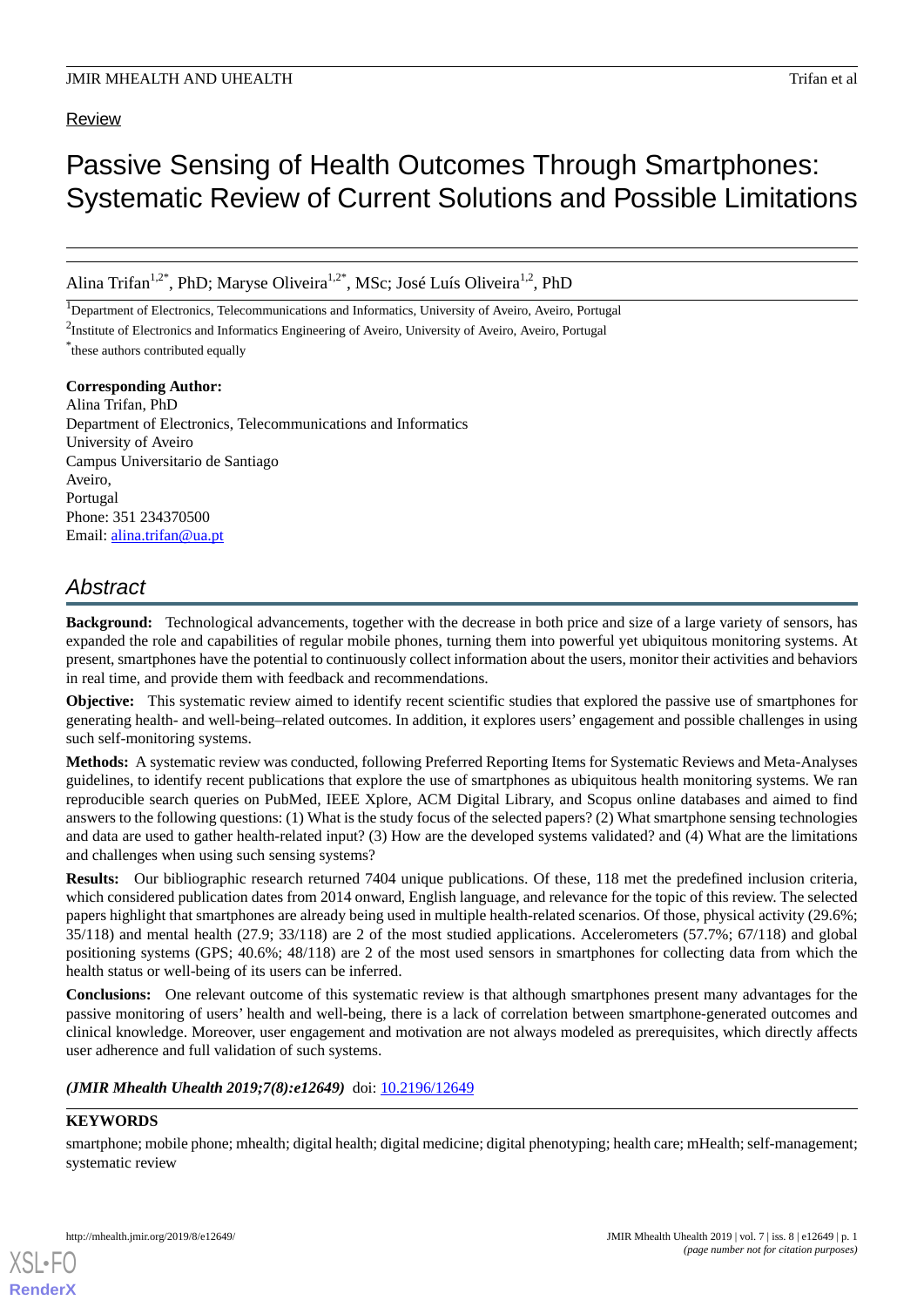## Review

# Passive Sensing of Health Outcomes Through Smartphones: Systematic Review of Current Solutions and Possible Limitations

Alina Trifan<sup>1,2\*</sup>, PhD; Maryse Oliveira<sup>1,2\*</sup>, MSc; José Luís Oliveira<sup>1,2</sup>, PhD

<sup>1</sup>Department of Electronics, Telecommunications and Informatics, University of Aveiro, Aveiro, Portugal

\* these authors contributed equally

## **Corresponding Author:**

Alina Trifan, PhD Department of Electronics, Telecommunications and Informatics University of Aveiro Campus Universitario de Santiago Aveiro, Portugal Phone: 351 234370500 Email: [alina.trifan@ua.pt](mailto:alina.trifan@ua.pt)

## *Abstract*

**Background:** Technological advancements, together with the decrease in both price and size of a large variety of sensors, has expanded the role and capabilities of regular mobile phones, turning them into powerful yet ubiquitous monitoring systems. At present, smartphones have the potential to continuously collect information about the users, monitor their activities and behaviors in real time, and provide them with feedback and recommendations.

**Objective:** This systematic review aimed to identify recent scientific studies that explored the passive use of smartphones for generating health- and well-being–related outcomes. In addition, it explores users' engagement and possible challenges in using such self-monitoring systems.

**Methods:** A systematic review was conducted, following Preferred Reporting Items for Systematic Reviews and Meta-Analyses guidelines, to identify recent publications that explore the use of smartphones as ubiquitous health monitoring systems. We ran reproducible search queries on PubMed, IEEE Xplore, ACM Digital Library, and Scopus online databases and aimed to find answers to the following questions: (1) What is the study focus of the selected papers? (2) What smartphone sensing technologies and data are used to gather health-related input? (3) How are the developed systems validated? and (4) What are the limitations and challenges when using such sensing systems?

**Results:** Our bibliographic research returned 7404 unique publications. Of these, 118 met the predefined inclusion criteria, which considered publication dates from 2014 onward, English language, and relevance for the topic of this review. The selected papers highlight that smartphones are already being used in multiple health-related scenarios. Of those, physical activity (29.6%; 35/118) and mental health (27.9; 33/118) are 2 of the most studied applications. Accelerometers (57.7%; 67/118) and global positioning systems (GPS; 40.6%; 48/118) are 2 of the most used sensors in smartphones for collecting data from which the health status or well-being of its users can be inferred.

**Conclusions:** One relevant outcome of this systematic review is that although smartphones present many advantages for the passive monitoring of users' health and well-being, there is a lack of correlation between smartphone-generated outcomes and clinical knowledge. Moreover, user engagement and motivation are not always modeled as prerequisites, which directly affects user adherence and full validation of such systems.

## *(JMIR Mhealth Uhealth 2019;7(8):e12649)* doi: [10.2196/12649](http://dx.doi.org/10.2196/12649)

## **KEYWORDS**

[XSL](http://www.w3.org/Style/XSL)•FO **[RenderX](http://www.renderx.com/)**

smartphone; mobile phone; mhealth; digital health; digital medicine; digital phenotyping; health care; mHealth; self-management; systematic review

<sup>&</sup>lt;sup>2</sup>Institute of Electronics and Informatics Engineering of Aveiro, University of Aveiro, Aveiro, Portugal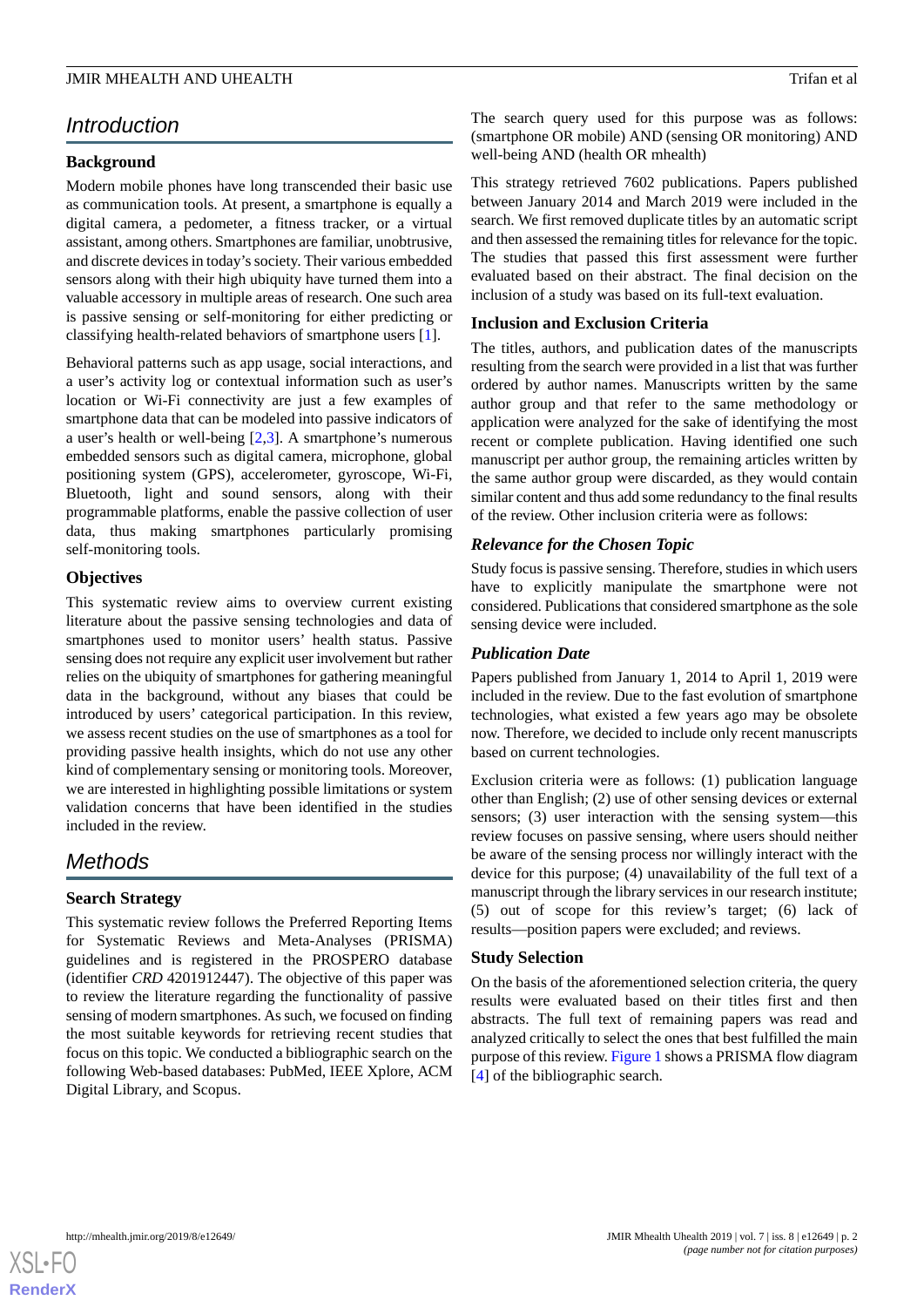## *Introduction*

## **Background**

Modern mobile phones have long transcended their basic use as communication tools. At present, a smartphone is equally a digital camera, a pedometer, a fitness tracker, or a virtual assistant, among others. Smartphones are familiar, unobtrusive, and discrete devices in today's society. Their various embedded sensors along with their high ubiquity have turned them into a valuable accessory in multiple areas of research. One such area is passive sensing or self-monitoring for either predicting or classifying health-related behaviors of smartphone users [\[1](#page-10-0)].

Behavioral patterns such as app usage, social interactions, and a user's activity log or contextual information such as user's location or Wi-Fi connectivity are just a few examples of smartphone data that can be modeled into passive indicators of a user's health or well-being [\[2](#page-10-1),[3\]](#page-10-2). A smartphone's numerous embedded sensors such as digital camera, microphone, global positioning system (GPS), accelerometer, gyroscope, Wi-Fi, Bluetooth, light and sound sensors, along with their programmable platforms, enable the passive collection of user data, thus making smartphones particularly promising self-monitoring tools.

## **Objectives**

This systematic review aims to overview current existing literature about the passive sensing technologies and data of smartphones used to monitor users' health status. Passive sensing does not require any explicit user involvement but rather relies on the ubiquity of smartphones for gathering meaningful data in the background, without any biases that could be introduced by users' categorical participation. In this review, we assess recent studies on the use of smartphones as a tool for providing passive health insights, which do not use any other kind of complementary sensing or monitoring tools. Moreover, we are interested in highlighting possible limitations or system validation concerns that have been identified in the studies included in the review.

## *Methods*

## **Search Strategy**

This systematic review follows the Preferred Reporting Items for Systematic Reviews and Meta-Analyses (PRISMA) guidelines and is registered in the PROSPERO database (identifier *CRD* 4201912447). The objective of this paper was to review the literature regarding the functionality of passive sensing of modern smartphones. As such, we focused on finding the most suitable keywords for retrieving recent studies that focus on this topic. We conducted a bibliographic search on the following Web-based databases: PubMed, IEEE Xplore, ACM Digital Library, and Scopus.

The search query used for this purpose was as follows: (smartphone OR mobile) AND (sensing OR monitoring) AND well-being AND (health OR mhealth)

This strategy retrieved 7602 publications. Papers published between January 2014 and March 2019 were included in the search. We first removed duplicate titles by an automatic script and then assessed the remaining titles for relevance for the topic. The studies that passed this first assessment were further evaluated based on their abstract. The final decision on the inclusion of a study was based on its full-text evaluation.

## **Inclusion and Exclusion Criteria**

The titles, authors, and publication dates of the manuscripts resulting from the search were provided in a list that was further ordered by author names. Manuscripts written by the same author group and that refer to the same methodology or application were analyzed for the sake of identifying the most recent or complete publication. Having identified one such manuscript per author group, the remaining articles written by the same author group were discarded, as they would contain similar content and thus add some redundancy to the final results of the review. Other inclusion criteria were as follows:

## *Relevance for the Chosen Topic*

Study focus is passive sensing. Therefore, studies in which users have to explicitly manipulate the smartphone were not considered. Publications that considered smartphone as the sole sensing device were included.

## *Publication Date*

Papers published from January 1, 2014 to April 1, 2019 were included in the review. Due to the fast evolution of smartphone technologies, what existed a few years ago may be obsolete now. Therefore, we decided to include only recent manuscripts based on current technologies.

Exclusion criteria were as follows: (1) publication language other than English; (2) use of other sensing devices or external sensors; (3) user interaction with the sensing system—this review focuses on passive sensing, where users should neither be aware of the sensing process nor willingly interact with the device for this purpose; (4) unavailability of the full text of a manuscript through the library services in our research institute; (5) out of scope for this review's target; (6) lack of results—position papers were excluded; and reviews.

## **Study Selection**

On the basis of the aforementioned selection criteria, the query results were evaluated based on their titles first and then abstracts. The full text of remaining papers was read and analyzed critically to select the ones that best fulfilled the main purpose of this review. [Figure 1](#page-2-0) shows a PRISMA flow diagram [[4\]](#page-10-3) of the bibliographic search.

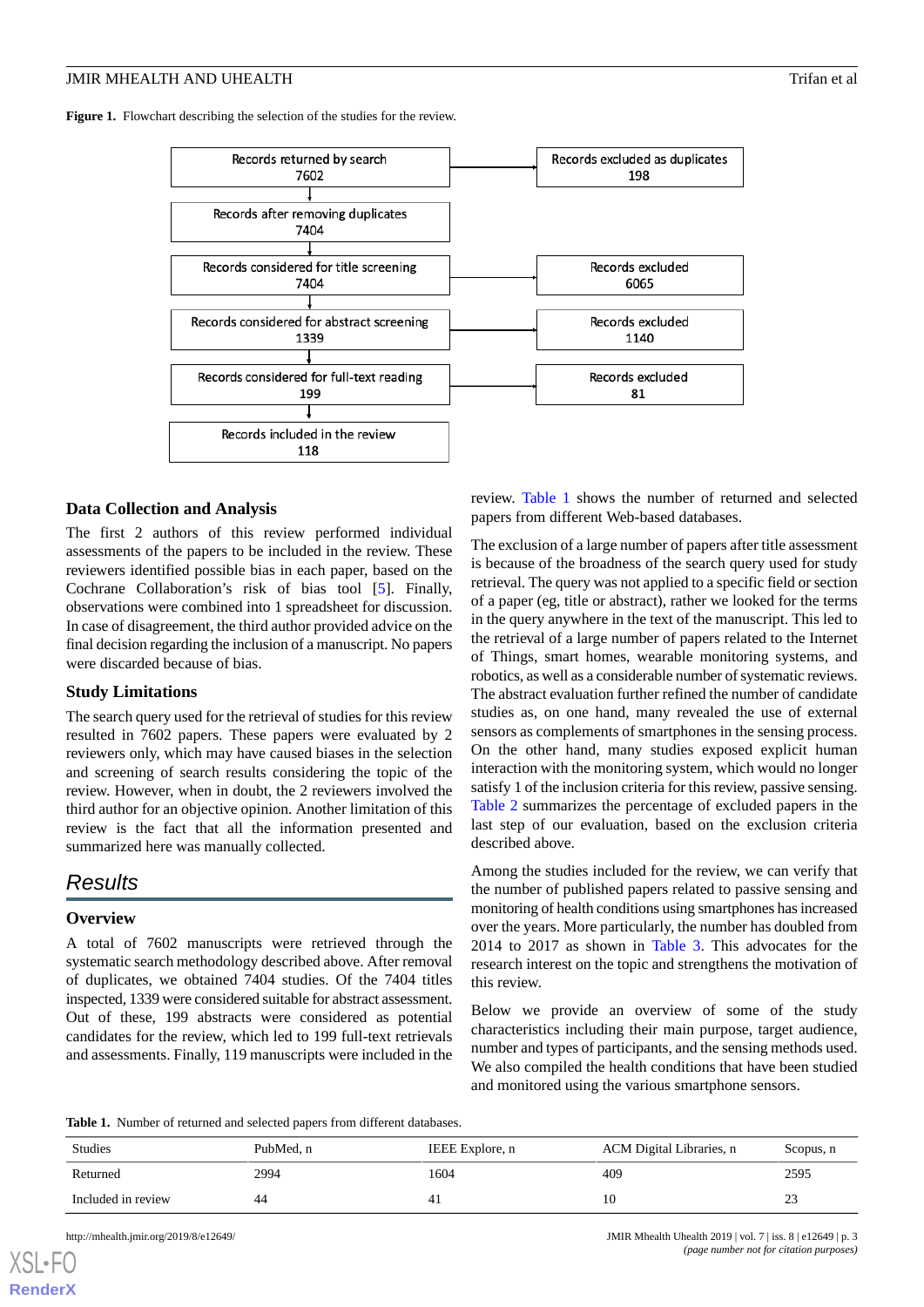<span id="page-2-0"></span>Figure 1. Flowchart describing the selection of the studies for the review.



## **Data Collection and Analysis**

The first 2 authors of this review performed individual assessments of the papers to be included in the review. These reviewers identified possible bias in each paper, based on the Cochrane Collaboration's risk of bias tool [[5](#page-10-4)]. Finally, observations were combined into 1 spreadsheet for discussion. In case of disagreement, the third author provided advice on the final decision regarding the inclusion of a manuscript. No papers were discarded because of bias.

## **Study Limitations**

The search query used for the retrieval of studies for this review resulted in 7602 papers. These papers were evaluated by 2 reviewers only, which may have caused biases in the selection and screening of search results considering the topic of the review. However, when in doubt, the 2 reviewers involved the third author for an objective opinion. Another limitation of this review is the fact that all the information presented and summarized here was manually collected.

## *Results*

## **Overview**

<span id="page-2-1"></span>A total of 7602 manuscripts were retrieved through the systematic search methodology described above. After removal of duplicates, we obtained 7404 studies. Of the 7404 titles inspected, 1339 were considered suitable for abstract assessment. Out of these, 199 abstracts were considered as potential candidates for the review, which led to 199 full-text retrievals and assessments. Finally, 119 manuscripts were included in the

review. [Table 1](#page-2-1) shows the number of returned and selected papers from different Web-based databases.

The exclusion of a large number of papers after title assessment is because of the broadness of the search query used for study retrieval. The query was not applied to a specific field or section of a paper (eg, title or abstract), rather we looked for the terms in the query anywhere in the text of the manuscript. This led to the retrieval of a large number of papers related to the Internet of Things, smart homes, wearable monitoring systems, and robotics, as well as a considerable number of systematic reviews. The abstract evaluation further refined the number of candidate studies as, on one hand, many revealed the use of external sensors as complements of smartphones in the sensing process. On the other hand, many studies exposed explicit human interaction with the monitoring system, which would no longer satisfy 1 of the inclusion criteria for this review, passive sensing. [Table 2](#page-3-0) summarizes the percentage of excluded papers in the last step of our evaluation, based on the exclusion criteria described above.

Among the studies included for the review, we can verify that the number of published papers related to passive sensing and monitoring of health conditions using smartphones has increased over the years. More particularly, the number has doubled from 2014 to 2017 as shown in [Table 3.](#page-3-1) This advocates for the research interest on the topic and strengthens the motivation of this review.

Below we provide an overview of some of the study characteristics including their main purpose, target audience, number and types of participants, and the sensing methods used. We also compiled the health conditions that have been studied and monitored using the various smartphone sensors.

**Table 1.** Number of returned and selected papers from different databases.

| <b>Studies</b>     | PubMed. n | IEEE Explore, n | ACM Digital Libraries, n | Scopus, n |
|--------------------|-----------|-----------------|--------------------------|-----------|
| Returned           | 2994      | 1604            | 409                      | 2595      |
| Included in review | 44        | 4.1             |                          | 23        |

[XSL](http://www.w3.org/Style/XSL)•FO **[RenderX](http://www.renderx.com/)**

http://mhealth.jmir.org/2019/8/e12649/ JMIR Mhealth Uhealth 2019 | vol. 7 | iss. 8 | e12649 | p. 3 *(page number not for citation purposes)*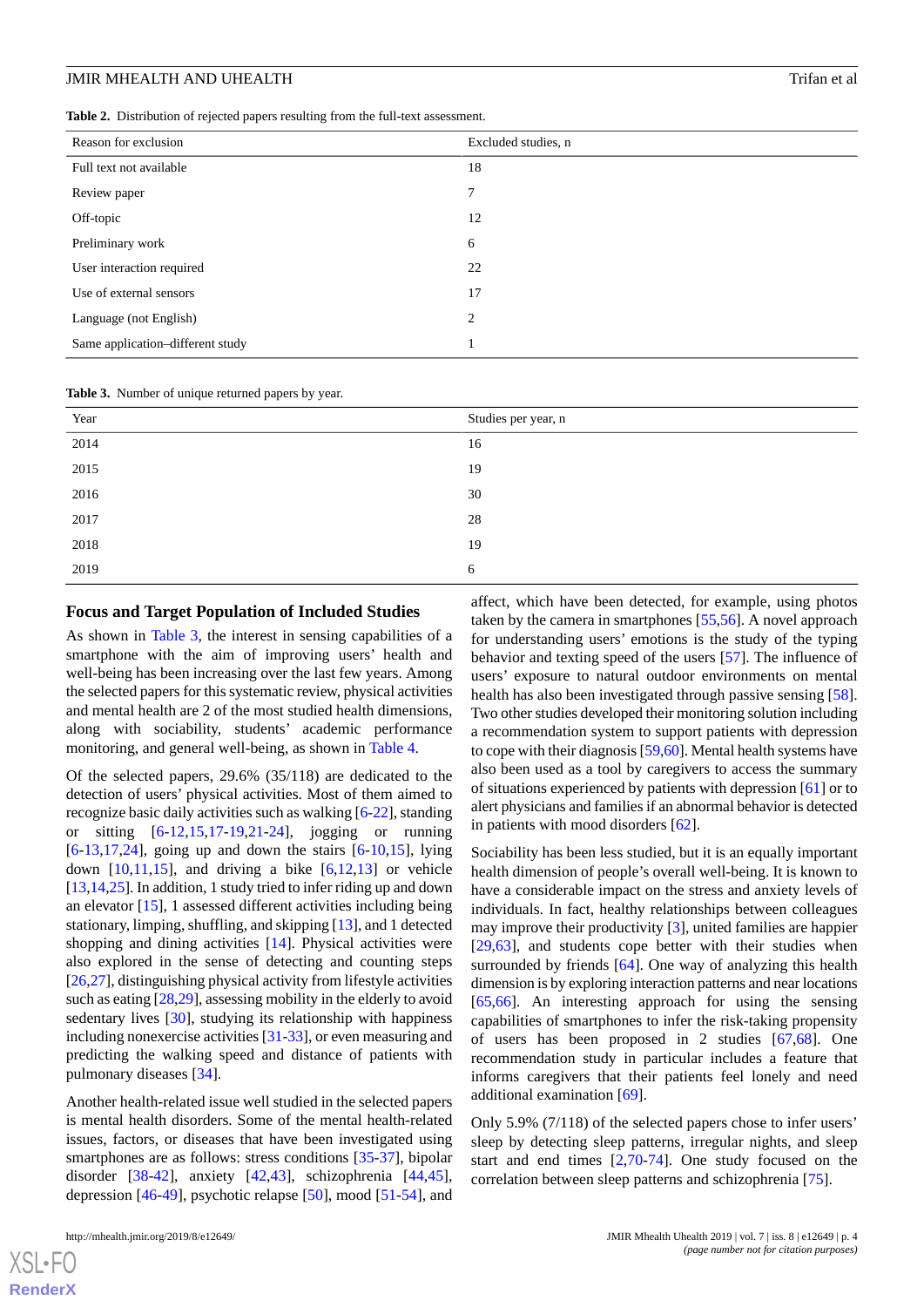<span id="page-3-0"></span>

| Table 2. Distribution of rejected papers resulting from the full-text assessment. |  |
|-----------------------------------------------------------------------------------|--|
|-----------------------------------------------------------------------------------|--|

| Reason for exclusion             | Excluded studies, n |
|----------------------------------|---------------------|
| Full text not available          | 18                  |
| Review paper                     | $\overline{7}$      |
| Off-topic                        | 12                  |
| Preliminary work                 | 6                   |
| User interaction required        | 22                  |
| Use of external sensors          | 17                  |
| Language (not English)           | 2                   |
| Same application-different study | 1                   |

<span id="page-3-1"></span>**Table 3.** Number of unique returned papers by year.

| Year | Studies per year, n |
|------|---------------------|
| 2014 | 16                  |
| 2015 | 19                  |
| 2016 | 30                  |
| 2017 | 28                  |
| 2018 | 19                  |
| 2019 | 6                   |

## **Focus and Target Population of Included Studies**

As shown in [Table 3,](#page-3-1) the interest in sensing capabilities of a smartphone with the aim of improving users' health and well-being has been increasing over the last few years. Among the selected papers for this systematic review, physical activities and mental health are 2 of the most studied health dimensions, along with sociability, students' academic performance monitoring, and general well-being, as shown in [Table 4.](#page-4-0)

Of the selected papers, 29.6% (35/118) are dedicated to the detection of users' physical activities. Most of them aimed to recognize basic daily activities such as walking [\[6](#page-10-5)[-22](#page-11-0)], standing or sitting [[6](#page-10-5)[-12](#page-10-6),[15,](#page-10-7)[17](#page-11-1)-[19,](#page-11-2)[21](#page-11-3)[-24](#page-11-4)], jogging or running [[6](#page-10-5)[-13](#page-10-8),[17,](#page-11-1)[24](#page-11-4)], going up and down the stairs [\[6](#page-10-5)[-10](#page-10-9)[,15](#page-10-7)], lying down  $[10,11,15]$  $[10,11,15]$  $[10,11,15]$  $[10,11,15]$  $[10,11,15]$ , and driving a bike  $[6,12,13]$  $[6,12,13]$  $[6,12,13]$  $[6,12,13]$  $[6,12,13]$  or vehicle [[13,](#page-10-8)[14](#page-10-11)[,25](#page-11-5)]. In addition, 1 study tried to infer riding up and down an elevator [[15\]](#page-10-7), 1 assessed different activities including being stationary, limping, shuffling, and skipping [\[13](#page-10-8)], and 1 detected shopping and dining activities [\[14](#page-10-11)]. Physical activities were also explored in the sense of detecting and counting steps [[26](#page-11-6)[,27](#page-11-7)], distinguishing physical activity from lifestyle activities such as eating [\[28](#page-11-8),[29\]](#page-11-9), assessing mobility in the elderly to avoid sedentary lives [[30\]](#page-11-10), studying its relationship with happiness including nonexercise activities [\[31](#page-11-11)-[33](#page-11-12)], or even measuring and predicting the walking speed and distance of patients with pulmonary diseases [[34\]](#page-11-13).

Another health-related issue well studied in the selected papers is mental health disorders. Some of the mental health-related issues, factors, or diseases that have been investigated using smartphones are as follows: stress conditions [\[35](#page-11-14)[-37](#page-11-15)], bipolar disorder [[38-](#page-12-0)[42](#page-12-1)], anxiety [[42](#page-12-1)[,43](#page-12-2)], schizophrenia [\[44](#page-12-3),[45\]](#page-12-4), depression [\[46](#page-12-5)-[49\]](#page-12-6), psychotic relapse [\[50](#page-12-7)], mood [\[51](#page-12-8)-[54\]](#page-12-9), and

[XSL](http://www.w3.org/Style/XSL)•FO **[RenderX](http://www.renderx.com/)**

affect, which have been detected, for example, using photos taken by the camera in smartphones [[55,](#page-12-10)[56](#page-12-11)]. A novel approach for understanding users' emotions is the study of the typing behavior and texting speed of the users [\[57](#page-13-0)]. The influence of users' exposure to natural outdoor environments on mental health has also been investigated through passive sensing [[58\]](#page-13-1). Two other studies developed their monitoring solution including a recommendation system to support patients with depression to cope with their diagnosis [[59,](#page-13-2)[60\]](#page-13-3). Mental health systems have also been used as a tool by caregivers to access the summary of situations experienced by patients with depression [[61\]](#page-13-4) or to alert physicians and families if an abnormal behavior is detected in patients with mood disorders [[62\]](#page-13-5).

Sociability has been less studied, but it is an equally important health dimension of people's overall well-being. It is known to have a considerable impact on the stress and anxiety levels of individuals. In fact, healthy relationships between colleagues may improve their productivity [\[3](#page-10-2)], united families are happier [[29,](#page-11-9)[63\]](#page-13-6), and students cope better with their studies when surrounded by friends [\[64](#page-13-7)]. One way of analyzing this health dimension is by exploring interaction patterns and near locations [[65,](#page-13-8)[66\]](#page-13-9). An interesting approach for using the sensing capabilities of smartphones to infer the risk-taking propensity of users has been proposed in 2 studies [[67](#page-13-10)[,68](#page-13-11)]. One recommendation study in particular includes a feature that informs caregivers that their patients feel lonely and need additional examination [\[69](#page-13-12)].

Only 5.9% (7/118) of the selected papers chose to infer users' sleep by detecting sleep patterns, irregular nights, and sleep start and end times [[2](#page-10-1)[,70](#page-13-13)-[74\]](#page-13-14). One study focused on the correlation between sleep patterns and schizophrenia [[75\]](#page-13-15).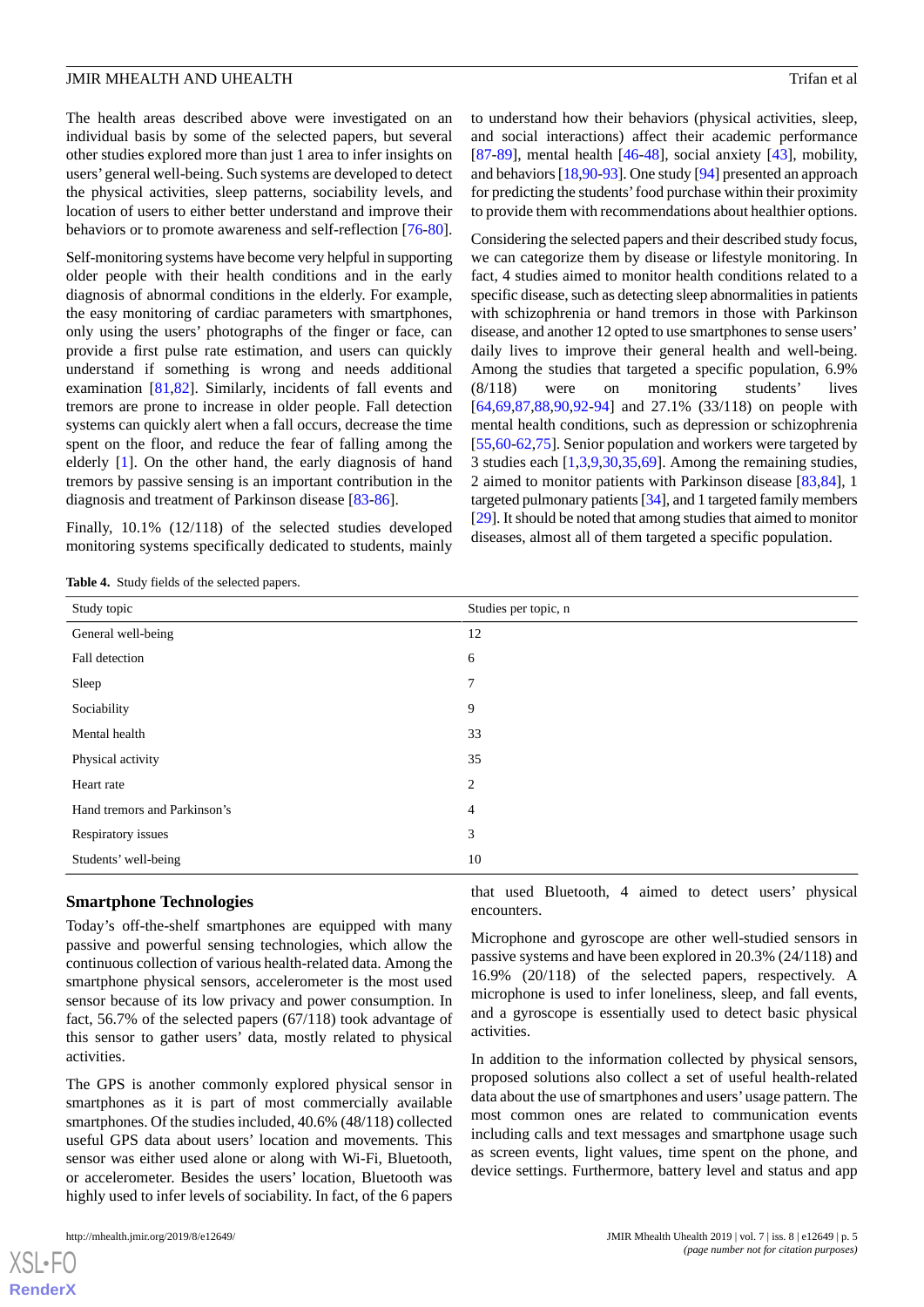The health areas described above were investigated on an individual basis by some of the selected papers, but several other studies explored more than just 1 area to infer insights on users'general well-being. Such systems are developed to detect the physical activities, sleep patterns, sociability levels, and location of users to either better understand and improve their behaviors or to promote awareness and self-reflection [\[76](#page-14-0)-[80\]](#page-14-1).

Self-monitoring systems have become very helpful in supporting older people with their health conditions and in the early diagnosis of abnormal conditions in the elderly. For example, the easy monitoring of cardiac parameters with smartphones, only using the users' photographs of the finger or face, can provide a first pulse rate estimation, and users can quickly understand if something is wrong and needs additional examination [[81,](#page-14-2)[82](#page-14-3)]. Similarly, incidents of fall events and tremors are prone to increase in older people. Fall detection systems can quickly alert when a fall occurs, decrease the time spent on the floor, and reduce the fear of falling among the elderly [[1\]](#page-10-0). On the other hand, the early diagnosis of hand tremors by passive sensing is an important contribution in the diagnosis and treatment of Parkinson disease [[83](#page-14-4)[-86](#page-14-5)].

<span id="page-4-0"></span>Finally, 10.1% (12/118) of the selected studies developed monitoring systems specifically dedicated to students, mainly to understand how their behaviors (physical activities, sleep, and social interactions) affect their academic performance  $[87-89]$  $[87-89]$  $[87-89]$  $[87-89]$ , mental health  $[46-48]$  $[46-48]$  $[46-48]$  $[46-48]$ , social anxiety  $[43]$  $[43]$ , mobility, and behaviors [\[18](#page-11-16)[,90](#page-14-8)[-93](#page-14-9)]. One study [[94\]](#page-14-10) presented an approach for predicting the students' food purchase within their proximity to provide them with recommendations about healthier options.

Considering the selected papers and their described study focus, we can categorize them by disease or lifestyle monitoring. In fact, 4 studies aimed to monitor health conditions related to a specific disease, such as detecting sleep abnormalities in patients with schizophrenia or hand tremors in those with Parkinson disease, and another 12 opted to use smartphones to sense users' daily lives to improve their general health and well-being. Among the studies that targeted a specific population, 6.9% (8/118) were on monitoring students' lives [[64,](#page-13-7)[69,](#page-13-12)[87](#page-14-6)[,88](#page-14-11),[90,](#page-14-8)[92-](#page-14-12)[94\]](#page-14-10) and 27.1% (33/118) on people with mental health conditions, such as depression or schizophrenia [[55,](#page-12-10)[60-](#page-13-3)[62](#page-13-5)[,75](#page-13-15)]. Senior population and workers were targeted by 3 studies each [[1](#page-10-0)[,3](#page-10-2),[9](#page-10-12)[,30](#page-11-10),[35](#page-11-14)[,69](#page-13-12)]. Among the remaining studies, 2 aimed to monitor patients with Parkinson disease [\[83](#page-14-4)[,84](#page-14-13)], 1 targeted pulmonary patients [\[34](#page-11-13)], and 1 targeted family members [[29\]](#page-11-9). It should be noted that among studies that aimed to monitor diseases, almost all of them targeted a specific population.

|  |  |  | <b>Table 4.</b> Study fields of the selected papers. |  |
|--|--|--|------------------------------------------------------|--|
|--|--|--|------------------------------------------------------|--|

| Studies per topic, n |
|----------------------|
| 12                   |
| 6                    |
| 7                    |
| 9                    |
| 33                   |
| 35                   |
| 2                    |
| 4                    |
| 3                    |
| 10                   |
|                      |

#### **Smartphone Technologies**

Today's off-the-shelf smartphones are equipped with many passive and powerful sensing technologies, which allow the continuous collection of various health-related data. Among the smartphone physical sensors, accelerometer is the most used sensor because of its low privacy and power consumption. In fact, 56.7% of the selected papers (67/118) took advantage of this sensor to gather users' data, mostly related to physical activities.

The GPS is another commonly explored physical sensor in smartphones as it is part of most commercially available smartphones. Of the studies included, 40.6% (48/118) collected useful GPS data about users' location and movements. This sensor was either used alone or along with Wi-Fi, Bluetooth, or accelerometer. Besides the users' location, Bluetooth was highly used to infer levels of sociability. In fact, of the 6 papers

 $X$ SL•F $C$ **[RenderX](http://www.renderx.com/)** that used Bluetooth, 4 aimed to detect users' physical encounters.

Microphone and gyroscope are other well-studied sensors in passive systems and have been explored in 20.3% (24/118) and 16.9% (20/118) of the selected papers, respectively. A microphone is used to infer loneliness, sleep, and fall events, and a gyroscope is essentially used to detect basic physical activities.

In addition to the information collected by physical sensors, proposed solutions also collect a set of useful health-related data about the use of smartphones and users'usage pattern. The most common ones are related to communication events including calls and text messages and smartphone usage such as screen events, light values, time spent on the phone, and device settings. Furthermore, battery level and status and app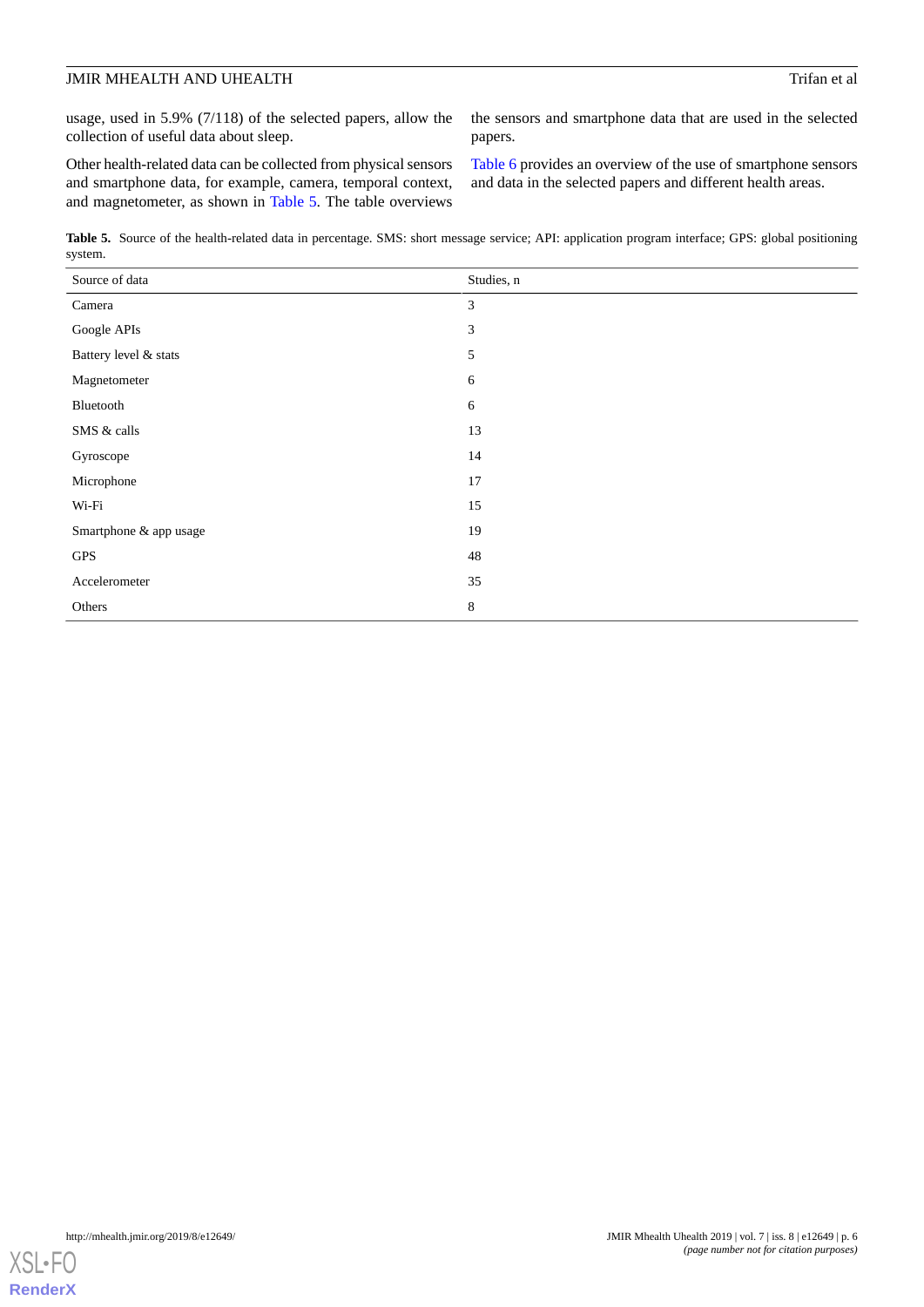usage, used in 5.9% (7/118) of the selected papers, allow the collection of useful data about sleep.

Other health-related data can be collected from physical sensors and smartphone data, for example, camera, temporal context, and magnetometer, as shown in [Table 5](#page-5-0). The table overviews

the sensors and smartphone data that are used in the selected papers.

[Table 6](#page-6-0) provides an overview of the use of smartphone sensors and data in the selected papers and different health areas.

<span id="page-5-0"></span>**Table 5.** Source of the health-related data in percentage. SMS: short message service; API: application program interface; GPS: global positioning system.

| Source of data         | Studies, n     |
|------------------------|----------------|
| Camera                 | $\mathfrak{Z}$ |
| Google APIs            | $\mathfrak{Z}$ |
| Battery level & stats  | $\sqrt{5}$     |
| Magnetometer           | 6              |
| Bluetooth              | 6              |
| SMS & calls            | 13             |
| Gyroscope              | 14             |
| Microphone             | 17             |
| $Wi-Fi$                | 15             |
| Smartphone & app usage | 19             |
| <b>GPS</b>             | $48\,$         |
| Accelerometer          | 35             |
| Others                 | $\,8$          |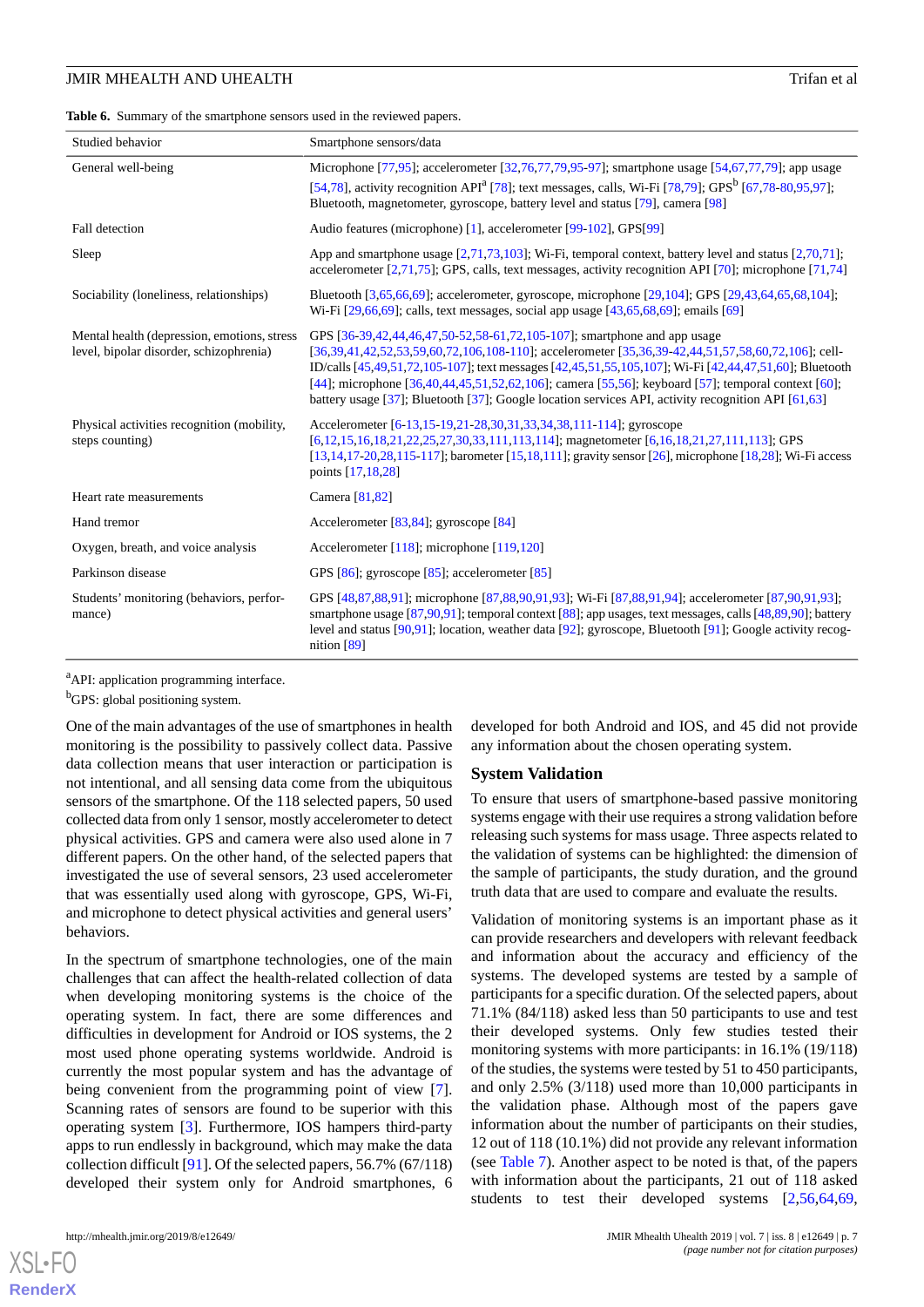<span id="page-6-0"></span>Table 6. Summary of the smartphone sensors used in the reviewed papers.

| Studied behavior                                                                       | Smartphone sensors/data                                                                                                                                                                                                                                                                                                                                                                                                                                                                              |
|----------------------------------------------------------------------------------------|------------------------------------------------------------------------------------------------------------------------------------------------------------------------------------------------------------------------------------------------------------------------------------------------------------------------------------------------------------------------------------------------------------------------------------------------------------------------------------------------------|
| General well-being                                                                     | Microphone [77,95]; accelerometer [32,76,77,79,95-97]; smartphone usage [54,67,77,79]; app usage                                                                                                                                                                                                                                                                                                                                                                                                     |
|                                                                                        | [54,78], activity recognition API <sup>a</sup> [78]; text messages, calls, Wi-Fi [78,79]; GPS <sup>b</sup> [67,78-80,95,97];<br>Bluetooth, magnetometer, gyroscope, battery level and status [79], camera [98]                                                                                                                                                                                                                                                                                       |
| Fall detection                                                                         | Audio features (microphone) [1], accelerometer [99-102], GPS[99]                                                                                                                                                                                                                                                                                                                                                                                                                                     |
| Sleep                                                                                  | App and smartphone usage $[2,71,73,103]$ ; Wi-Fi, temporal context, battery level and status $[2,70,71]$ ;<br>accelerometer [2,71,75]; GPS, calls, text messages, activity recognition API [70]; microphone [71,74]                                                                                                                                                                                                                                                                                  |
| Sociability (loneliness, relationships)                                                | Bluetooth [3,65,66,69]; accelerometer, gyroscope, microphone [29,104]; GPS [29,43,64,65,68,104];<br>Wi-Fi [29,66,69]; calls, text messages, social app usage [43,65,68,69]; emails [69]                                                                                                                                                                                                                                                                                                              |
| Mental health (depression, emotions, stress<br>level, bipolar disorder, schizophrenia) | GPS [36-39,42,44,46,47,50-52,58-61,72,105-107]; smartphone and app usage<br>[36,39,41,42,52,53,59,60,72,106,108-110]; accelerometer [35,36,39-42,44,51,57,58,60,72,106]; cell-<br>ID/calls [45,49,51,72,105-107]; text messages [42,45,51,55,105,107]; Wi-Fi [42,44,47,51,60]; Bluetooth<br>[44]; microphone [36,40,44,45,51,52,62,106]; camera [55,56]; keyboard [57]; temporal context [60];<br>battery usage [37]; Bluetooth [37]; Google location services API, activity recognition API [61,63] |
| Physical activities recognition (mobility,<br>steps counting)                          | Accelerometer [6-13, 15-19, 21-28, 30, 31, 33, 34, 38, 111-114]; gyroscope<br>$[6,12,15,16,18,21,22,25,27,30,33,111,113,114]$ ; magnetometer $[6,16,18,21,27,111,113]$ ; GPS<br>$[13,14,17-20,28,115-117]$ ; barometer [15,18,111]; gravity sensor [26], microphone [18,28]; Wi-Fi access<br>points [17,18,28]                                                                                                                                                                                       |
| Heart rate measurements                                                                | Camera [81,82]                                                                                                                                                                                                                                                                                                                                                                                                                                                                                       |
| Hand tremor                                                                            | Accelerometer $[83, 84]$ ; gyroscope $[84]$                                                                                                                                                                                                                                                                                                                                                                                                                                                          |
| Oxygen, breath, and voice analysis                                                     | Accelerometer $[118]$ ; microphone $[119,120]$                                                                                                                                                                                                                                                                                                                                                                                                                                                       |
| Parkinson disease                                                                      | GPS $[86]$ ; gyroscope $[85]$ ; accelerometer $[85]$                                                                                                                                                                                                                                                                                                                                                                                                                                                 |
| Students' monitoring (behaviors, perfor-<br>mance)                                     | GPS [48,87,88,91]; microphone [87,88,90,91,93]; Wi-Fi [87,88,91,94]; accelerometer [87,90,91,93];<br>smartphone usage [87,90,91]; temporal context [88]; app usages, text messages, calls [48,89,90]; battery<br>level and status [90,91]; location, weather data [92]; gyroscope, Bluetooth [91]; Google activity recog-<br>nition $[89]$                                                                                                                                                           |

<sup>a</sup>API: application programming interface.

<sup>b</sup>GPS: global positioning system.

One of the main advantages of the use of smartphones in health monitoring is the possibility to passively collect data. Passive data collection means that user interaction or participation is not intentional, and all sensing data come from the ubiquitous sensors of the smartphone. Of the 118 selected papers, 50 used collected data from only 1 sensor, mostly accelerometer to detect physical activities. GPS and camera were also used alone in 7 different papers. On the other hand, of the selected papers that investigated the use of several sensors, 23 used accelerometer that was essentially used along with gyroscope, GPS, Wi-Fi, and microphone to detect physical activities and general users' behaviors.

In the spectrum of smartphone technologies, one of the main challenges that can affect the health-related collection of data when developing monitoring systems is the choice of the operating system. In fact, there are some differences and difficulties in development for Android or IOS systems, the 2 most used phone operating systems worldwide. Android is currently the most popular system and has the advantage of being convenient from the programming point of view [[7\]](#page-10-13). Scanning rates of sensors are found to be superior with this operating system [[3](#page-10-2)]. Furthermore, IOS hampers third-party apps to run endlessly in background, which may make the data collection difficult [[91\]](#page-14-19). Of the selected papers, 56.7% (67/118) developed their system only for Android smartphones, 6

[XSL](http://www.w3.org/Style/XSL)•FO **[RenderX](http://www.renderx.com/)**

developed for both Android and IOS, and 45 did not provide any information about the chosen operating system.

#### **System Validation**

To ensure that users of smartphone-based passive monitoring systems engage with their use requires a strong validation before releasing such systems for mass usage. Three aspects related to the validation of systems can be highlighted: the dimension of the sample of participants, the study duration, and the ground truth data that are used to compare and evaluate the results.

Validation of monitoring systems is an important phase as it can provide researchers and developers with relevant feedback and information about the accuracy and efficiency of the systems. The developed systems are tested by a sample of participants for a specific duration. Of the selected papers, about 71.1% (84/118) asked less than 50 participants to use and test their developed systems. Only few studies tested their monitoring systems with more participants: in 16.1% (19/118) of the studies, the systems were tested by 51 to 450 participants, and only 2.5% (3/118) used more than 10,000 participants in the validation phase. Although most of the papers gave information about the number of participants on their studies, 12 out of 118 (10.1%) did not provide any relevant information (see [Table 7](#page-7-0)). Another aspect to be noted is that, of the papers with information about the participants, 21 out of 118 asked students to test their developed systems [[2](#page-10-1)[,56](#page-12-11),[64](#page-13-7)[,69](#page-13-12),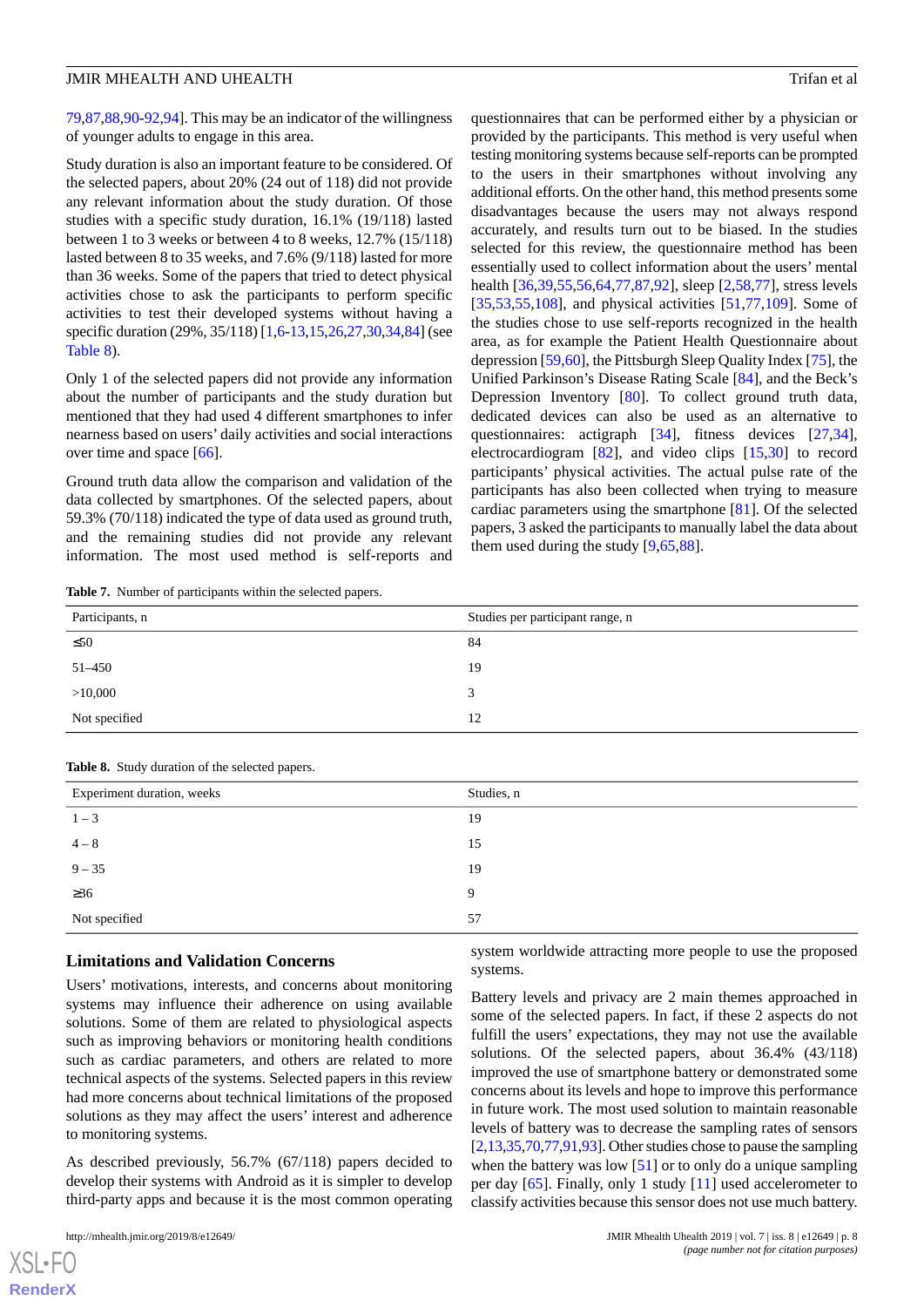[79](#page-14-16),[87](#page-14-6)[,88](#page-14-11),[90-](#page-14-8)[92](#page-14-12),[94](#page-14-10)]. This may be an indicator of the willingness of younger adults to engage in this area.

Study duration is also an important feature to be considered. Of the selected papers, about 20% (24 out of 118) did not provide any relevant information about the study duration. Of those studies with a specific study duration, 16.1% (19/118) lasted between 1 to 3 weeks or between 4 to 8 weeks, 12.7% (15/118) lasted between 8 to 35 weeks, and 7.6% (9/118) lasted for more than 36 weeks. Some of the papers that tried to detect physical activities chose to ask the participants to perform specific activities to test their developed systems without having a specific duration (29%, 35/118) [\[1](#page-10-0),[6-](#page-10-5)[13,](#page-10-8)[15](#page-10-7),[26](#page-11-6),[27,](#page-11-7)[30](#page-11-10)[,34](#page-11-13),[84\]](#page-14-13) (see [Table 8\)](#page-7-1).

Only 1 of the selected papers did not provide any information about the number of participants and the study duration but mentioned that they had used 4 different smartphones to infer nearness based on users' daily activities and social interactions over time and space [[66\]](#page-13-9).

<span id="page-7-0"></span>Ground truth data allow the comparison and validation of the data collected by smartphones. Of the selected papers, about 59.3% (70/118) indicated the type of data used as ground truth, and the remaining studies did not provide any relevant information. The most used method is self-reports and

questionnaires that can be performed either by a physician or provided by the participants. This method is very useful when testing monitoring systems because self-reports can be prompted to the users in their smartphones without involving any additional efforts. On the other hand, this method presents some disadvantages because the users may not always respond accurately, and results turn out to be biased. In the studies selected for this review, the questionnaire method has been essentially used to collect information about the users' mental health [\[36](#page-11-18)[,39](#page-12-13)[,55](#page-12-10),[56,](#page-12-11)[64](#page-13-7)[,77](#page-14-14)[,87](#page-14-6),[92\]](#page-14-12), sleep [\[2,](#page-10-1)[58](#page-13-1)[,77](#page-14-14)], stress levels [[35,](#page-11-14)[53,](#page-12-17)[55](#page-12-10)[,108\]](#page-15-9), and physical activities [[51](#page-12-8)[,77](#page-14-14),[109\]](#page-15-15). Some of the studies chose to use self-reports recognized in the health area, as for example the Patient Health Questionnaire about depression [[59,](#page-13-2)[60](#page-13-3)], the Pittsburgh Sleep Quality Index [[75\]](#page-13-15), the Unified Parkinson's Disease Rating Scale [[84\]](#page-14-13), and the Beck's Depression Inventory [[80\]](#page-14-1). To collect ground truth data, dedicated devices can also be used as an alternative to questionnaires: actigraph [[34\]](#page-11-13), fitness devices [\[27](#page-11-7),[34\]](#page-11-13), electrocardiogram [\[82](#page-14-3)], and video clips [\[15](#page-10-7),[30\]](#page-11-10) to record participants' physical activities. The actual pulse rate of the participants has also been collected when trying to measure cardiac parameters using the smartphone [[81\]](#page-14-2). Of the selected papers, 3 asked the participants to manually label the data about them used during the study [[9](#page-10-12)[,65](#page-13-8),[88\]](#page-14-11).

**Table 7.** Number of participants within the selected papers.

| Participants, n | Studies per participant range, n |
|-----------------|----------------------------------|
| $\leq 50$       | 84                               |
| 51-450          | 19                               |
| >10,000         | 3                                |
| Not specified   | 12                               |

<span id="page-7-1"></span>

|  |  | Table 8. Study duration of the selected papers. |  |  |  |
|--|--|-------------------------------------------------|--|--|--|
|--|--|-------------------------------------------------|--|--|--|

| Experiment duration, weeks | Studies, n |
|----------------------------|------------|
| $1 - 3$                    | 19         |
| $4 - 8$                    | 15         |
| $9 - 35$                   | 19         |
| $\geq 36$                  | 9          |
| Not specified              | 57         |

#### **Limitations and Validation Concerns**

Users' motivations, interests, and concerns about monitoring systems may influence their adherence on using available solutions. Some of them are related to physiological aspects such as improving behaviors or monitoring health conditions such as cardiac parameters, and others are related to more technical aspects of the systems. Selected papers in this review had more concerns about technical limitations of the proposed solutions as they may affect the users' interest and adherence to monitoring systems.

As described previously, 56.7% (67/118) papers decided to develop their systems with Android as it is simpler to develop third-party apps and because it is the most common operating

 $XS$  • FO **[RenderX](http://www.renderx.com/)** system worldwide attracting more people to use the proposed systems.

Battery levels and privacy are 2 main themes approached in some of the selected papers. In fact, if these 2 aspects do not fulfill the users' expectations, they may not use the available solutions. Of the selected papers, about 36.4% (43/118) improved the use of smartphone battery or demonstrated some concerns about its levels and hope to improve this performance in future work. The most used solution to maintain reasonable levels of battery was to decrease the sampling rates of sensors [[2](#page-10-1)[,13](#page-10-8)[,35](#page-11-14)[,70](#page-13-13),[77](#page-14-14),[91,](#page-14-19)[93\]](#page-14-9). Other studies chose to pause the sampling when the battery was low  $[51]$  $[51]$  or to only do a unique sampling per day [\[65](#page-13-8)]. Finally, only 1 study [\[11](#page-10-10)] used accelerometer to classify activities because this sensor does not use much battery.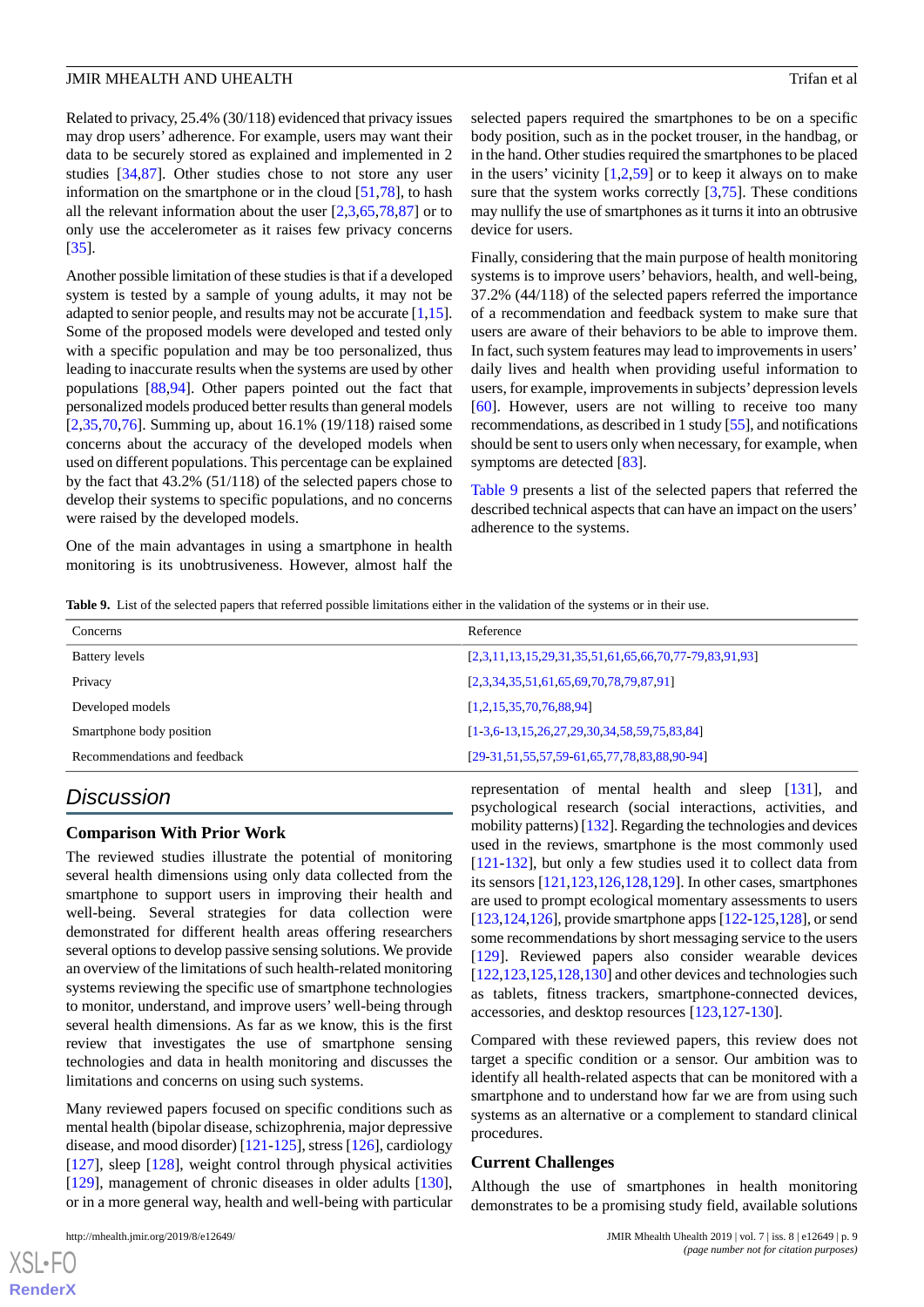Related to privacy, 25.4% (30/118) evidenced that privacy issues may drop users' adherence. For example, users may want their data to be securely stored as explained and implemented in 2 studies [[34,](#page-11-13)[87](#page-14-6)]. Other studies chose to not store any user information on the smartphone or in the cloud [\[51](#page-12-8),[78\]](#page-14-17), to hash all the relevant information about the user  $[2,3,65,78,87]$  $[2,3,65,78,87]$  $[2,3,65,78,87]$  $[2,3,65,78,87]$  $[2,3,65,78,87]$  $[2,3,65,78,87]$  $[2,3,65,78,87]$  $[2,3,65,78,87]$  or to only use the accelerometer as it raises few privacy concerns [[35\]](#page-11-14).

Another possible limitation of these studies is that if a developed system is tested by a sample of young adults, it may not be adapted to senior people, and results may not be accurate [[1,](#page-10-0)[15\]](#page-10-7). Some of the proposed models were developed and tested only with a specific population and may be too personalized, thus leading to inaccurate results when the systems are used by other populations [\[88](#page-14-11),[94\]](#page-14-10). Other papers pointed out the fact that personalized models produced better results than general models [[2](#page-10-1)[,35](#page-11-14),[70](#page-13-13)[,76](#page-14-0)]. Summing up, about 16.1% (19/118) raised some concerns about the accuracy of the developed models when used on different populations. This percentage can be explained by the fact that 43.2% (51/118) of the selected papers chose to develop their systems to specific populations, and no concerns were raised by the developed models.

<span id="page-8-0"></span>One of the main advantages in using a smartphone in health monitoring is its unobtrusiveness. However, almost half the selected papers required the smartphones to be on a specific body position, such as in the pocket trouser, in the handbag, or in the hand. Other studies required the smartphones to be placed in the users' vicinity  $[1,2,59]$  $[1,2,59]$  $[1,2,59]$  $[1,2,59]$  $[1,2,59]$  or to keep it always on to make sure that the system works correctly  $[3,75]$  $[3,75]$  $[3,75]$  $[3,75]$ . These conditions may nullify the use of smartphones as it turns it into an obtrusive device for users.

Finally, considering that the main purpose of health monitoring systems is to improve users' behaviors, health, and well-being, 37.2% (44/118) of the selected papers referred the importance of a recommendation and feedback system to make sure that users are aware of their behaviors to be able to improve them. In fact, such system features may lead to improvements in users' daily lives and health when providing useful information to users, for example, improvements in subjects'depression levels [[60\]](#page-13-3). However, users are not willing to receive too many recommendations, as described in 1 study [\[55](#page-12-10)], and notifications should be sent to users only when necessary, for example, when symptoms are detected [\[83](#page-14-4)].

[Table 9](#page-8-0) presents a list of the selected papers that referred the described technical aspects that can have an impact on the users' adherence to the systems.

**Table 9.** List of the selected papers that referred possible limitations either in the validation of the systems or in their use.

| $[2,3,11,13,15,29,31,35,51,61,65,66,70,77-79,83,91,93]$ |
|---------------------------------------------------------|
| $[2,3,34,35,51,61,65,69,70,78,79,87,91]$                |
|                                                         |
| $[1-3,6-13,15,26,27,29,30,34,58,59,75,83,84]$           |
| $[29-31, 51, 55, 57, 59-61, 65, 77, 78, 83, 88, 90-94]$ |
|                                                         |

## *Discussion*

#### **Comparison With Prior Work**

The reviewed studies illustrate the potential of monitoring several health dimensions using only data collected from the smartphone to support users in improving their health and well-being. Several strategies for data collection were demonstrated for different health areas offering researchers several options to develop passive sensing solutions. We provide an overview of the limitations of such health-related monitoring systems reviewing the specific use of smartphone technologies to monitor, understand, and improve users' well-being through several health dimensions. As far as we know, this is the first review that investigates the use of smartphone sensing technologies and data in health monitoring and discusses the limitations and concerns on using such systems.

Many reviewed papers focused on specific conditions such as mental health (bipolar disease, schizophrenia, major depressive disease, and mood disorder) [\[121](#page-16-4)[-125](#page-16-5)], stress [\[126](#page-16-6)], cardiology [[127\]](#page-16-7), sleep [[128](#page-16-8)], weight control through physical activities [[129\]](#page-16-9), management of chronic diseases in older adults [[130\]](#page-16-10), or in a more general way, health and well-being with particular

 $XS$ -FO **[RenderX](http://www.renderx.com/)** representation of mental health and sleep [\[131](#page-16-11)], and psychological research (social interactions, activities, and mobility patterns) [[132](#page-16-12)]. Regarding the technologies and devices used in the reviews, smartphone is the most commonly used [[121](#page-16-4)[-132](#page-16-12)], but only a few studies used it to collect data from its sensors [\[121](#page-16-4),[123,](#page-16-13)[126](#page-16-6),[128,](#page-16-8)[129](#page-16-9)]. In other cases, smartphones are used to prompt ecological momentary assessments to users [[123,](#page-16-13)[124](#page-16-14)[,126](#page-16-6)], provide smartphone apps [[122-](#page-16-15)[125,](#page-16-5)[128\]](#page-16-8), or send some recommendations by short messaging service to the users [[129\]](#page-16-9). Reviewed papers also consider wearable devices [[122](#page-16-15)[,123](#page-16-13),[125](#page-16-5),[128](#page-16-8)[,130](#page-16-10)] and other devices and technologies such as tablets, fitness trackers, smartphone-connected devices, accessories, and desktop resources [[123](#page-16-13)[,127](#page-16-7)-[130\]](#page-16-10).

Compared with these reviewed papers, this review does not target a specific condition or a sensor. Our ambition was to identify all health-related aspects that can be monitored with a smartphone and to understand how far we are from using such systems as an alternative or a complement to standard clinical procedures.

#### **Current Challenges**

Although the use of smartphones in health monitoring demonstrates to be a promising study field, available solutions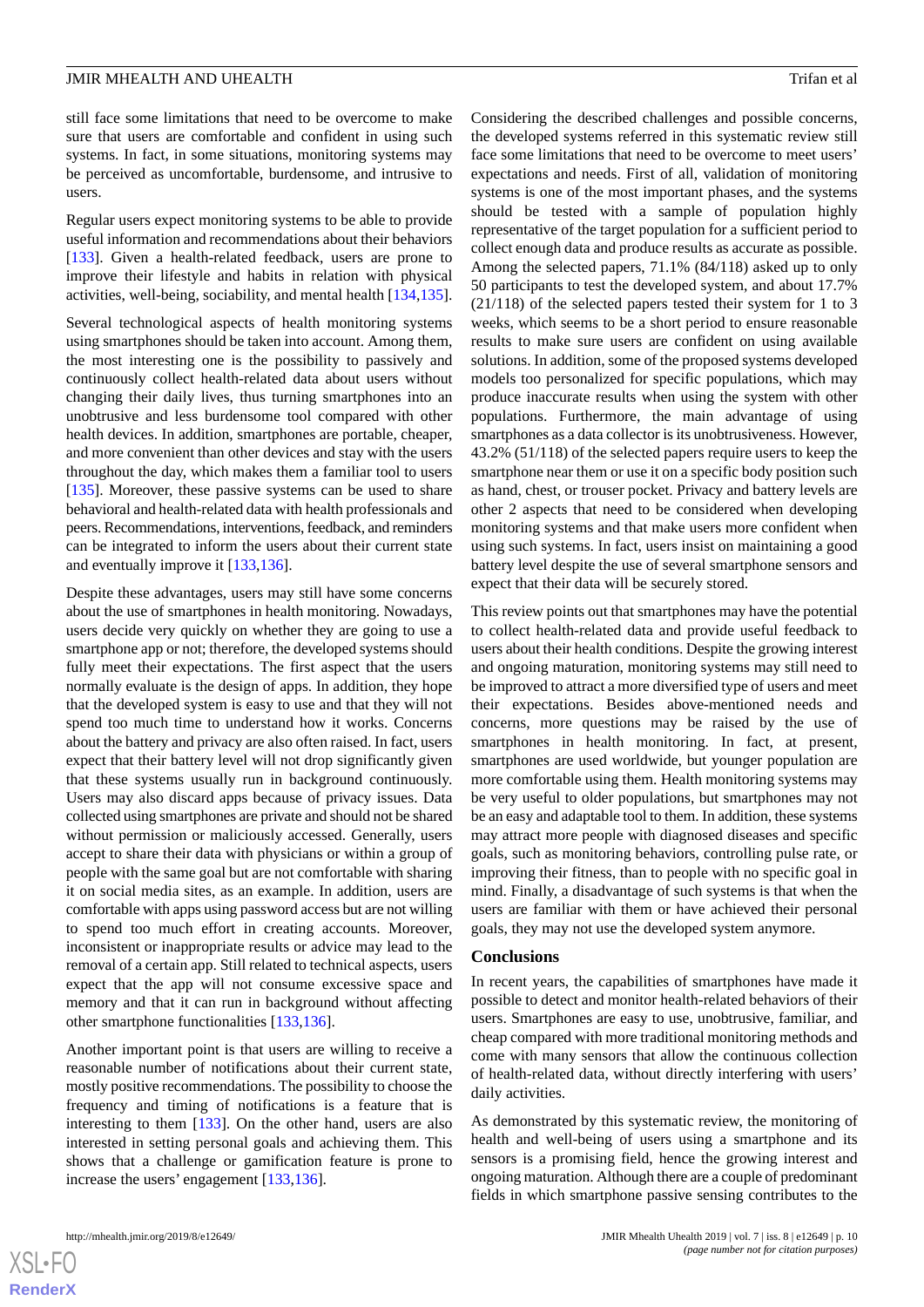still face some limitations that need to be overcome to make sure that users are comfortable and confident in using such systems. In fact, in some situations, monitoring systems may be perceived as uncomfortable, burdensome, and intrusive to users.

Regular users expect monitoring systems to be able to provide useful information and recommendations about their behaviors [[133\]](#page-16-16). Given a health-related feedback, users are prone to improve their lifestyle and habits in relation with physical activities, well-being, sociability, and mental health [\[134](#page-16-17),[135\]](#page-16-18).

Several technological aspects of health monitoring systems using smartphones should be taken into account. Among them, the most interesting one is the possibility to passively and continuously collect health-related data about users without changing their daily lives, thus turning smartphones into an unobtrusive and less burdensome tool compared with other health devices. In addition, smartphones are portable, cheaper, and more convenient than other devices and stay with the users throughout the day, which makes them a familiar tool to users [[135\]](#page-16-18). Moreover, these passive systems can be used to share behavioral and health-related data with health professionals and peers. Recommendations, interventions, feedback, and reminders can be integrated to inform the users about their current state and eventually improve it [\[133](#page-16-16),[136\]](#page-16-19).

Despite these advantages, users may still have some concerns about the use of smartphones in health monitoring. Nowadays, users decide very quickly on whether they are going to use a smartphone app or not; therefore, the developed systems should fully meet their expectations. The first aspect that the users normally evaluate is the design of apps. In addition, they hope that the developed system is easy to use and that they will not spend too much time to understand how it works. Concerns about the battery and privacy are also often raised. In fact, users expect that their battery level will not drop significantly given that these systems usually run in background continuously. Users may also discard apps because of privacy issues. Data collected using smartphones are private and should not be shared without permission or maliciously accessed. Generally, users accept to share their data with physicians or within a group of people with the same goal but are not comfortable with sharing it on social media sites, as an example. In addition, users are comfortable with apps using password access but are not willing to spend too much effort in creating accounts. Moreover, inconsistent or inappropriate results or advice may lead to the removal of a certain app. Still related to technical aspects, users expect that the app will not consume excessive space and memory and that it can run in background without affecting other smartphone functionalities [[133](#page-16-16)[,136](#page-16-19)].

Another important point is that users are willing to receive a reasonable number of notifications about their current state, mostly positive recommendations. The possibility to choose the frequency and timing of notifications is a feature that is interesting to them [[133\]](#page-16-16). On the other hand, users are also interested in setting personal goals and achieving them. This shows that a challenge or gamification feature is prone to increase the users' engagement [\[133](#page-16-16),[136\]](#page-16-19).

Considering the described challenges and possible concerns, the developed systems referred in this systematic review still face some limitations that need to be overcome to meet users' expectations and needs. First of all, validation of monitoring systems is one of the most important phases, and the systems should be tested with a sample of population highly representative of the target population for a sufficient period to collect enough data and produce results as accurate as possible. Among the selected papers, 71.1% (84/118) asked up to only 50 participants to test the developed system, and about 17.7% (21/118) of the selected papers tested their system for 1 to 3 weeks, which seems to be a short period to ensure reasonable results to make sure users are confident on using available solutions. In addition, some of the proposed systems developed models too personalized for specific populations, which may produce inaccurate results when using the system with other populations. Furthermore, the main advantage of using smartphones as a data collector is its unobtrusiveness. However, 43.2% (51/118) of the selected papers require users to keep the smartphone near them or use it on a specific body position such as hand, chest, or trouser pocket. Privacy and battery levels are other 2 aspects that need to be considered when developing monitoring systems and that make users more confident when using such systems. In fact, users insist on maintaining a good battery level despite the use of several smartphone sensors and expect that their data will be securely stored.

This review points out that smartphones may have the potential to collect health-related data and provide useful feedback to users about their health conditions. Despite the growing interest and ongoing maturation, monitoring systems may still need to be improved to attract a more diversified type of users and meet their expectations. Besides above-mentioned needs and concerns, more questions may be raised by the use of smartphones in health monitoring. In fact, at present, smartphones are used worldwide, but younger population are more comfortable using them. Health monitoring systems may be very useful to older populations, but smartphones may not be an easy and adaptable tool to them. In addition, these systems may attract more people with diagnosed diseases and specific goals, such as monitoring behaviors, controlling pulse rate, or improving their fitness, than to people with no specific goal in mind. Finally, a disadvantage of such systems is that when the users are familiar with them or have achieved their personal goals, they may not use the developed system anymore.

#### **Conclusions**

In recent years, the capabilities of smartphones have made it possible to detect and monitor health-related behaviors of their users. Smartphones are easy to use, unobtrusive, familiar, and cheap compared with more traditional monitoring methods and come with many sensors that allow the continuous collection of health-related data, without directly interfering with users' daily activities.

As demonstrated by this systematic review, the monitoring of health and well-being of users using a smartphone and its sensors is a promising field, hence the growing interest and ongoing maturation. Although there are a couple of predominant fields in which smartphone passive sensing contributes to the



 $XS$ -FO **[RenderX](http://www.renderx.com/)**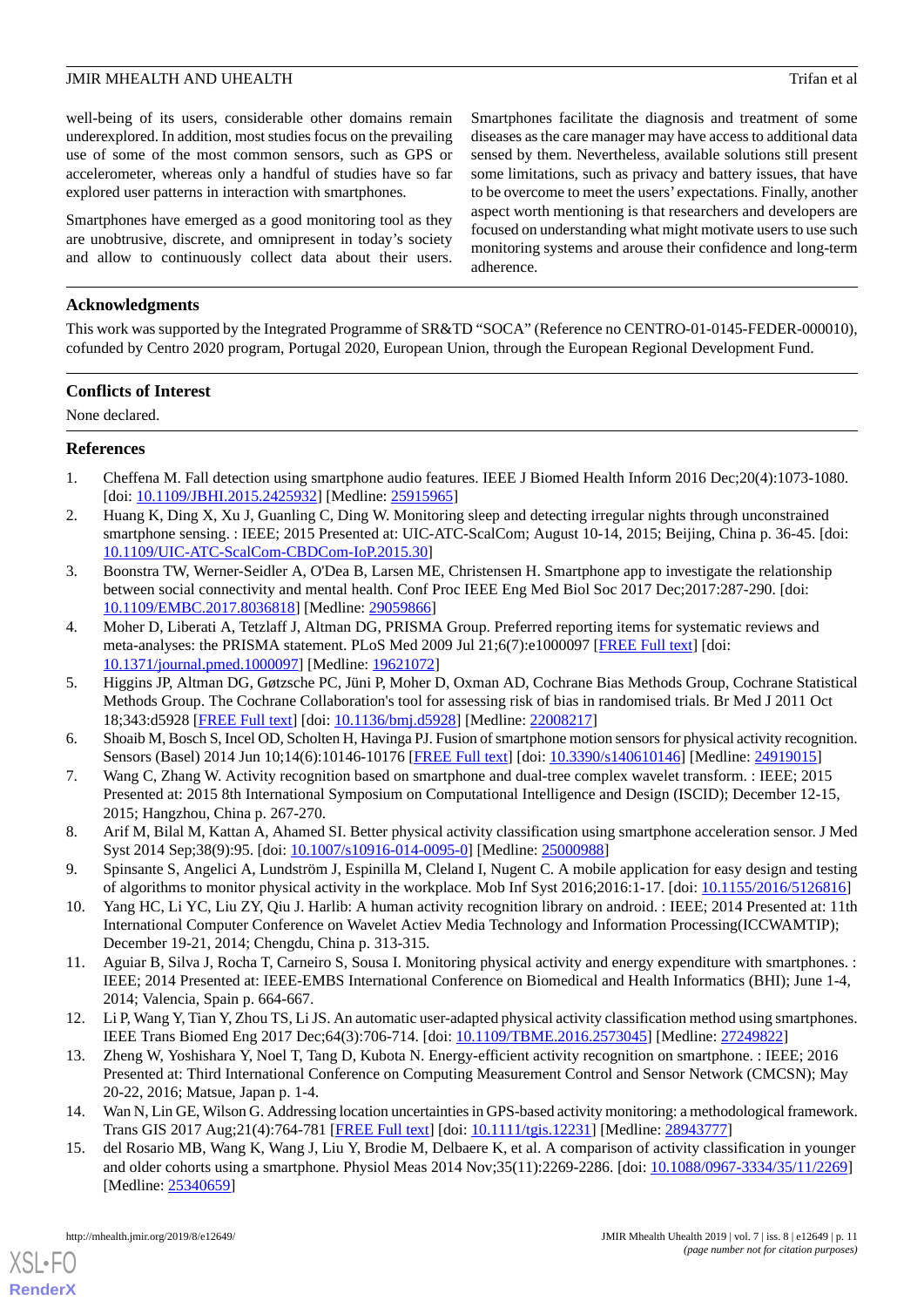well-being of its users, considerable other domains remain underexplored. In addition, most studies focus on the prevailing use of some of the most common sensors, such as GPS or accelerometer, whereas only a handful of studies have so far explored user patterns in interaction with smartphones.

Smartphones have emerged as a good monitoring tool as they are unobtrusive, discrete, and omnipresent in today's society and allow to continuously collect data about their users. Smartphones facilitate the diagnosis and treatment of some diseases as the care manager may have access to additional data sensed by them. Nevertheless, available solutions still present some limitations, such as privacy and battery issues, that have to be overcome to meet the users' expectations. Finally, another aspect worth mentioning is that researchers and developers are focused on understanding what might motivate users to use such monitoring systems and arouse their confidence and long-term adherence.

## **Acknowledgments**

This work was supported by the Integrated Programme of SR&TD "SOCA" (Reference no CENTRO-01-0145-FEDER-000010), cofunded by Centro 2020 program, Portugal 2020, European Union, through the European Regional Development Fund.

## **Conflicts of Interest**

<span id="page-10-0"></span>None declared.

## **References**

- <span id="page-10-1"></span>1. Cheffena M. Fall detection using smartphone audio features. IEEE J Biomed Health Inform 2016 Dec;20(4):1073-1080. [doi: [10.1109/JBHI.2015.2425932](http://dx.doi.org/10.1109/JBHI.2015.2425932)] [Medline: [25915965](http://www.ncbi.nlm.nih.gov/entrez/query.fcgi?cmd=Retrieve&db=PubMed&list_uids=25915965&dopt=Abstract)]
- <span id="page-10-2"></span>2. Huang K, Ding X, Xu J, Guanling C, Ding W. Monitoring sleep and detecting irregular nights through unconstrained smartphone sensing. : IEEE; 2015 Presented at: UIC-ATC-ScalCom; August 10-14, 2015; Beijing, China p. 36-45. [doi: [10.1109/UIC-ATC-ScalCom-CBDCom-IoP.2015.30\]](http://dx.doi.org/10.1109/UIC-ATC-ScalCom-CBDCom-IoP.2015.30)
- <span id="page-10-3"></span>3. Boonstra TW, Werner-Seidler A, O'Dea B, Larsen ME, Christensen H. Smartphone app to investigate the relationship between social connectivity and mental health. Conf Proc IEEE Eng Med Biol Soc 2017 Dec;2017:287-290. [doi: [10.1109/EMBC.2017.8036818](http://dx.doi.org/10.1109/EMBC.2017.8036818)] [Medline: [29059866\]](http://www.ncbi.nlm.nih.gov/entrez/query.fcgi?cmd=Retrieve&db=PubMed&list_uids=29059866&dopt=Abstract)
- <span id="page-10-4"></span>4. Moher D, Liberati A, Tetzlaff J, Altman DG, PRISMA Group. Preferred reporting items for systematic reviews and meta-analyses: the PRISMA statement. PLoS Med 2009 Jul 21;6(7):e1000097 [[FREE Full text](http://dx.plos.org/10.1371/journal.pmed.1000097)] [doi: [10.1371/journal.pmed.1000097](http://dx.doi.org/10.1371/journal.pmed.1000097)] [Medline: [19621072](http://www.ncbi.nlm.nih.gov/entrez/query.fcgi?cmd=Retrieve&db=PubMed&list_uids=19621072&dopt=Abstract)]
- <span id="page-10-13"></span><span id="page-10-5"></span>5. Higgins JP, Altman DG, Gøtzsche PC, Jüni P, Moher D, Oxman AD, Cochrane Bias Methods Group, Cochrane Statistical Methods Group. The Cochrane Collaboration's tool for assessing risk of bias in randomised trials. Br Med J 2011 Oct 18;343:d5928 [[FREE Full text](http://europepmc.org/abstract/MED/22008217)] [doi: [10.1136/bmj.d5928\]](http://dx.doi.org/10.1136/bmj.d5928) [Medline: [22008217\]](http://www.ncbi.nlm.nih.gov/entrez/query.fcgi?cmd=Retrieve&db=PubMed&list_uids=22008217&dopt=Abstract)
- 6. Shoaib M, Bosch S, Incel OD, Scholten H, Havinga PJ. Fusion of smartphone motion sensors for physical activity recognition. Sensors (Basel) 2014 Jun 10;14(6):10146-10176 [[FREE Full text](http://www.mdpi.com/resolver?pii=s140610146)] [doi: [10.3390/s140610146\]](http://dx.doi.org/10.3390/s140610146) [Medline: [24919015](http://www.ncbi.nlm.nih.gov/entrez/query.fcgi?cmd=Retrieve&db=PubMed&list_uids=24919015&dopt=Abstract)]
- <span id="page-10-12"></span>7. Wang C, Zhang W. Activity recognition based on smartphone and dual-tree complex wavelet transform. : IEEE; 2015 Presented at: 2015 8th International Symposium on Computational Intelligence and Design (ISCID); December 12-15, 2015; Hangzhou, China p. 267-270.
- <span id="page-10-9"></span>8. Arif M, Bilal M, Kattan A, Ahamed SI. Better physical activity classification using smartphone acceleration sensor. J Med Syst 2014 Sep;38(9):95. [doi: [10.1007/s10916-014-0095-0\]](http://dx.doi.org/10.1007/s10916-014-0095-0) [Medline: [25000988](http://www.ncbi.nlm.nih.gov/entrez/query.fcgi?cmd=Retrieve&db=PubMed&list_uids=25000988&dopt=Abstract)]
- <span id="page-10-10"></span>9. Spinsante S, Angelici A, Lundström J, Espinilla M, Cleland I, Nugent C. A mobile application for easy design and testing of algorithms to monitor physical activity in the workplace. Mob Inf Syst 2016;2016:1-17. [doi: [10.1155/2016/5126816](http://dx.doi.org/10.1155/2016/5126816)]
- <span id="page-10-6"></span>10. Yang HC, Li YC, Liu ZY, Qiu J. Harlib: A human activity recognition library on android. : IEEE; 2014 Presented at: 11th International Computer Conference on Wavelet Actiev Media Technology and Information Processing(ICCWAMTIP); December 19-21, 2014; Chengdu, China p. 313-315.
- <span id="page-10-8"></span>11. Aguiar B, Silva J, Rocha T, Carneiro S, Sousa I. Monitoring physical activity and energy expenditure with smartphones. : IEEE; 2014 Presented at: IEEE-EMBS International Conference on Biomedical and Health Informatics (BHI); June 1-4, 2014; Valencia, Spain p. 664-667.
- <span id="page-10-11"></span><span id="page-10-7"></span>12. Li P, Wang Y, Tian Y, Zhou TS, Li JS. An automatic user-adapted physical activity classification method using smartphones. IEEE Trans Biomed Eng 2017 Dec;64(3):706-714. [doi: [10.1109/TBME.2016.2573045\]](http://dx.doi.org/10.1109/TBME.2016.2573045) [Medline: [27249822\]](http://www.ncbi.nlm.nih.gov/entrez/query.fcgi?cmd=Retrieve&db=PubMed&list_uids=27249822&dopt=Abstract)
- 13. Zheng W, Yoshishara Y, Noel T, Tang D, Kubota N. Energy-efficient activity recognition on smartphone. : IEEE; 2016 Presented at: Third International Conference on Computing Measurement Control and Sensor Network (CMCSN); May 20-22, 2016; Matsue, Japan p. 1-4.
- 14. Wan N, Lin GE, Wilson G. Addressing location uncertainties in GPS-based activity monitoring: a methodological framework. Trans GIS 2017 Aug;21(4):764-781 [\[FREE Full text\]](http://europepmc.org/abstract/MED/28943777) [doi: [10.1111/tgis.12231](http://dx.doi.org/10.1111/tgis.12231)] [Medline: [28943777\]](http://www.ncbi.nlm.nih.gov/entrez/query.fcgi?cmd=Retrieve&db=PubMed&list_uids=28943777&dopt=Abstract)
- 15. del Rosario MB, Wang K, Wang J, Liu Y, Brodie M, Delbaere K, et al. A comparison of activity classification in younger and older cohorts using a smartphone. Physiol Meas 2014 Nov;35(11):2269-2286. [doi: [10.1088/0967-3334/35/11/2269](http://dx.doi.org/10.1088/0967-3334/35/11/2269)] [Medline: [25340659](http://www.ncbi.nlm.nih.gov/entrez/query.fcgi?cmd=Retrieve&db=PubMed&list_uids=25340659&dopt=Abstract)]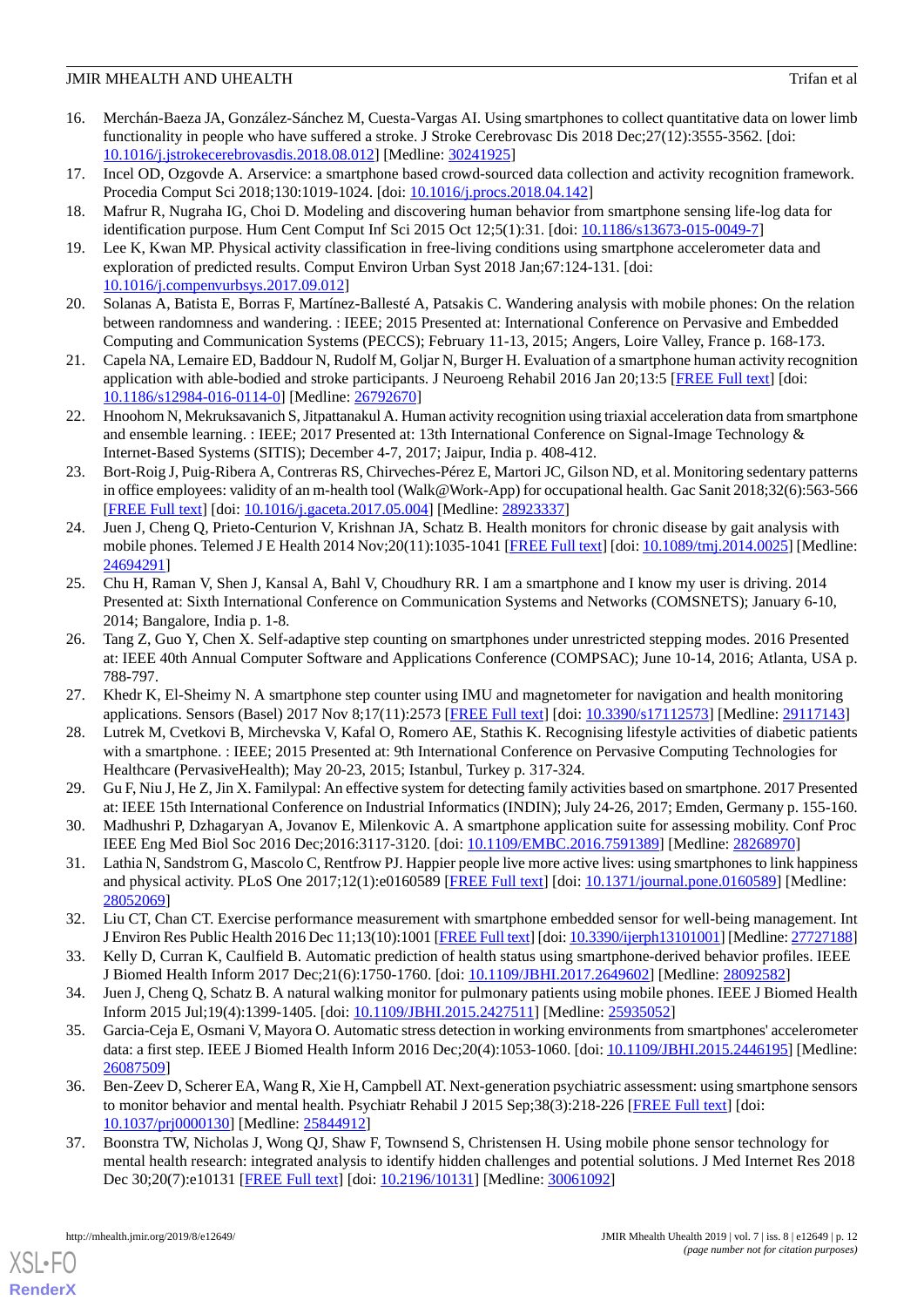- <span id="page-11-19"></span>16. Merchán-Baeza JA, González-Sánchez M, Cuesta-Vargas AI. Using smartphones to collect quantitative data on lower limb functionality in people who have suffered a stroke. J Stroke Cerebrovasc Dis 2018 Dec;27(12):3555-3562. [doi: [10.1016/j.jstrokecerebrovasdis.2018.08.012](http://dx.doi.org/10.1016/j.jstrokecerebrovasdis.2018.08.012)] [Medline: [30241925](http://www.ncbi.nlm.nih.gov/entrez/query.fcgi?cmd=Retrieve&db=PubMed&list_uids=30241925&dopt=Abstract)]
- <span id="page-11-16"></span><span id="page-11-1"></span>17. Incel OD, Ozgovde A. Arservice: a smartphone based crowd-sourced data collection and activity recognition framework. Procedia Comput Sci 2018;130:1019-1024. [doi: [10.1016/j.procs.2018.04.142](http://dx.doi.org/10.1016/j.procs.2018.04.142)]
- <span id="page-11-2"></span>18. Mafrur R, Nugraha IG, Choi D. Modeling and discovering human behavior from smartphone sensing life-log data for identification purpose. Hum Cent Comput Inf Sci 2015 Oct 12;5(1):31. [doi: [10.1186/s13673-015-0049-7](http://dx.doi.org/10.1186/s13673-015-0049-7)]
- <span id="page-11-20"></span>19. Lee K, Kwan MP. Physical activity classification in free-living conditions using smartphone accelerometer data and exploration of predicted results. Comput Environ Urban Syst 2018 Jan;67:124-131. [doi: [10.1016/j.compenvurbsys.2017.09.012\]](http://dx.doi.org/10.1016/j.compenvurbsys.2017.09.012)
- <span id="page-11-3"></span>20. Solanas A, Batista E, Borras F, Martínez-Ballesté A, Patsakis C. Wandering analysis with mobile phones: On the relation between randomness and wandering. : IEEE; 2015 Presented at: International Conference on Pervasive and Embedded Computing and Communication Systems (PECCS); February 11-13, 2015; Angers, Loire Valley, France p. 168-173.
- <span id="page-11-0"></span>21. Capela NA, Lemaire ED, Baddour N, Rudolf M, Goljar N, Burger H. Evaluation of a smartphone human activity recognition application with able-bodied and stroke participants. J Neuroeng Rehabil 2016 Jan 20;13:5 [[FREE Full text\]](https://jneuroengrehab.biomedcentral.com/articles/10.1186/s12984-016-0114-0) [doi: [10.1186/s12984-016-0114-0\]](http://dx.doi.org/10.1186/s12984-016-0114-0) [Medline: [26792670](http://www.ncbi.nlm.nih.gov/entrez/query.fcgi?cmd=Retrieve&db=PubMed&list_uids=26792670&dopt=Abstract)]
- 22. Hnoohom N, Mekruksavanich S, Jitpattanakul A. Human activity recognition using triaxial acceleration data from smartphone and ensemble learning. : IEEE; 2017 Presented at: 13th International Conference on Signal-Image Technology & Internet-Based Systems (SITIS); December 4-7, 2017; Jaipur, India p. 408-412.
- <span id="page-11-4"></span>23. Bort-Roig J, Puig-Ribera A, Contreras RS, Chirveches-Pérez E, Martori JC, Gilson ND, et al. Monitoring sedentary patterns in office employees: validity of an m-health tool (Walk@Work-App) for occupational health. Gac Sanit 2018;32(6):563-566 [[FREE Full text](http://www.elsevier.es/en/linksolver/ft/pii/S0213-9111(17)30140-1)] [doi: [10.1016/j.gaceta.2017.05.004](http://dx.doi.org/10.1016/j.gaceta.2017.05.004)] [Medline: [28923337\]](http://www.ncbi.nlm.nih.gov/entrez/query.fcgi?cmd=Retrieve&db=PubMed&list_uids=28923337&dopt=Abstract)
- <span id="page-11-5"></span>24. Juen J, Cheng Q, Prieto-Centurion V, Krishnan JA, Schatz B. Health monitors for chronic disease by gait analysis with mobile phones. Telemed J E Health 2014 Nov;20(11):1035-1041 [\[FREE Full text\]](http://europepmc.org/abstract/MED/24694291) [doi: [10.1089/tmj.2014.0025\]](http://dx.doi.org/10.1089/tmj.2014.0025) [Medline: [24694291](http://www.ncbi.nlm.nih.gov/entrez/query.fcgi?cmd=Retrieve&db=PubMed&list_uids=24694291&dopt=Abstract)]
- <span id="page-11-6"></span>25. Chu H, Raman V, Shen J, Kansal A, Bahl V, Choudhury RR. I am a smartphone and I know my user is driving. 2014 Presented at: Sixth International Conference on Communication Systems and Networks (COMSNETS); January 6-10, 2014; Bangalore, India p. 1-8.
- <span id="page-11-8"></span><span id="page-11-7"></span>26. Tang Z, Guo Y, Chen X. Self-adaptive step counting on smartphones under unrestricted stepping modes. 2016 Presented at: IEEE 40th Annual Computer Software and Applications Conference (COMPSAC); June 10-14, 2016; Atlanta, USA p. 788-797.
- <span id="page-11-9"></span>27. Khedr K, El-Sheimy N. A smartphone step counter using IMU and magnetometer for navigation and health monitoring applications. Sensors (Basel) 2017 Nov 8;17(11):2573 [[FREE Full text](http://www.mdpi.com/resolver?pii=s17112573)] [doi: [10.3390/s17112573\]](http://dx.doi.org/10.3390/s17112573) [Medline: [29117143](http://www.ncbi.nlm.nih.gov/entrez/query.fcgi?cmd=Retrieve&db=PubMed&list_uids=29117143&dopt=Abstract)]
- <span id="page-11-10"></span>28. Lutrek M, Cvetkovi B, Mirchevska V, Kafal O, Romero AE, Stathis K. Recognising lifestyle activities of diabetic patients with a smartphone. : IEEE; 2015 Presented at: 9th International Conference on Pervasive Computing Technologies for Healthcare (PervasiveHealth); May 20-23, 2015; Istanbul, Turkey p. 317-324.
- <span id="page-11-11"></span>29. Gu F, Niu J, He Z, Jin X. Familypal: An effective system for detecting family activities based on smartphone. 2017 Presented at: IEEE 15th International Conference on Industrial Informatics (INDIN); July 24-26, 2017; Emden, Germany p. 155-160.
- <span id="page-11-17"></span>30. Madhushri P, Dzhagaryan A, Jovanov E, Milenkovic A. A smartphone application suite for assessing mobility. Conf Proc IEEE Eng Med Biol Soc 2016 Dec;2016:3117-3120. [doi: [10.1109/EMBC.2016.7591389\]](http://dx.doi.org/10.1109/EMBC.2016.7591389) [Medline: [28268970\]](http://www.ncbi.nlm.nih.gov/entrez/query.fcgi?cmd=Retrieve&db=PubMed&list_uids=28268970&dopt=Abstract)
- <span id="page-11-12"></span>31. Lathia N, Sandstrom G, Mascolo C, Rentfrow PJ. Happier people live more active lives: using smartphones to link happiness and physical activity. PLoS One 2017;12(1):e0160589 [[FREE Full text](http://dx.plos.org/10.1371/journal.pone.0160589)] [doi: [10.1371/journal.pone.0160589](http://dx.doi.org/10.1371/journal.pone.0160589)] [Medline: [28052069](http://www.ncbi.nlm.nih.gov/entrez/query.fcgi?cmd=Retrieve&db=PubMed&list_uids=28052069&dopt=Abstract)]
- <span id="page-11-14"></span><span id="page-11-13"></span>32. Liu CT, Chan CT. Exercise performance measurement with smartphone embedded sensor for well-being management. Int J Environ Res Public Health 2016 Dec 11;13(10):1001 [\[FREE Full text\]](http://www.mdpi.com/resolver?pii=ijerph13101001) [doi: [10.3390/ijerph13101001](http://dx.doi.org/10.3390/ijerph13101001)] [Medline: [27727188](http://www.ncbi.nlm.nih.gov/entrez/query.fcgi?cmd=Retrieve&db=PubMed&list_uids=27727188&dopt=Abstract)]
- 33. Kelly D, Curran K, Caulfield B. Automatic prediction of health status using smartphone-derived behavior profiles. IEEE J Biomed Health Inform 2017 Dec;21(6):1750-1760. [doi: [10.1109/JBHI.2017.2649602](http://dx.doi.org/10.1109/JBHI.2017.2649602)] [Medline: [28092582](http://www.ncbi.nlm.nih.gov/entrez/query.fcgi?cmd=Retrieve&db=PubMed&list_uids=28092582&dopt=Abstract)]
- <span id="page-11-18"></span>34. Juen J, Cheng Q, Schatz B. A natural walking monitor for pulmonary patients using mobile phones. IEEE J Biomed Health Inform 2015 Jul;19(4):1399-1405. [doi: [10.1109/JBHI.2015.2427511](http://dx.doi.org/10.1109/JBHI.2015.2427511)] [Medline: [25935052](http://www.ncbi.nlm.nih.gov/entrez/query.fcgi?cmd=Retrieve&db=PubMed&list_uids=25935052&dopt=Abstract)]
- <span id="page-11-15"></span>35. Garcia-Ceja E, Osmani V, Mayora O. Automatic stress detection in working environments from smartphones' accelerometer data: a first step. IEEE J Biomed Health Inform 2016 Dec;20(4):1053-1060. [doi: [10.1109/JBHI.2015.2446195\]](http://dx.doi.org/10.1109/JBHI.2015.2446195) [Medline: [26087509](http://www.ncbi.nlm.nih.gov/entrez/query.fcgi?cmd=Retrieve&db=PubMed&list_uids=26087509&dopt=Abstract)]
- 36. Ben-Zeev D, Scherer EA, Wang R, Xie H, Campbell AT. Next-generation psychiatric assessment: using smartphone sensors to monitor behavior and mental health. Psychiatr Rehabil J 2015 Sep;38(3):218-226 [[FREE Full text](http://europepmc.org/abstract/MED/25844912)] [doi: [10.1037/prj0000130\]](http://dx.doi.org/10.1037/prj0000130) [Medline: [25844912\]](http://www.ncbi.nlm.nih.gov/entrez/query.fcgi?cmd=Retrieve&db=PubMed&list_uids=25844912&dopt=Abstract)
- 37. Boonstra TW, Nicholas J, Wong QJ, Shaw F, Townsend S, Christensen H. Using mobile phone sensor technology for mental health research: integrated analysis to identify hidden challenges and potential solutions. J Med Internet Res 2018 Dec 30;20(7):e10131 [[FREE Full text](http://www.jmir.org/2018/7/e10131/)] [doi: [10.2196/10131\]](http://dx.doi.org/10.2196/10131) [Medline: [30061092](http://www.ncbi.nlm.nih.gov/entrez/query.fcgi?cmd=Retrieve&db=PubMed&list_uids=30061092&dopt=Abstract)]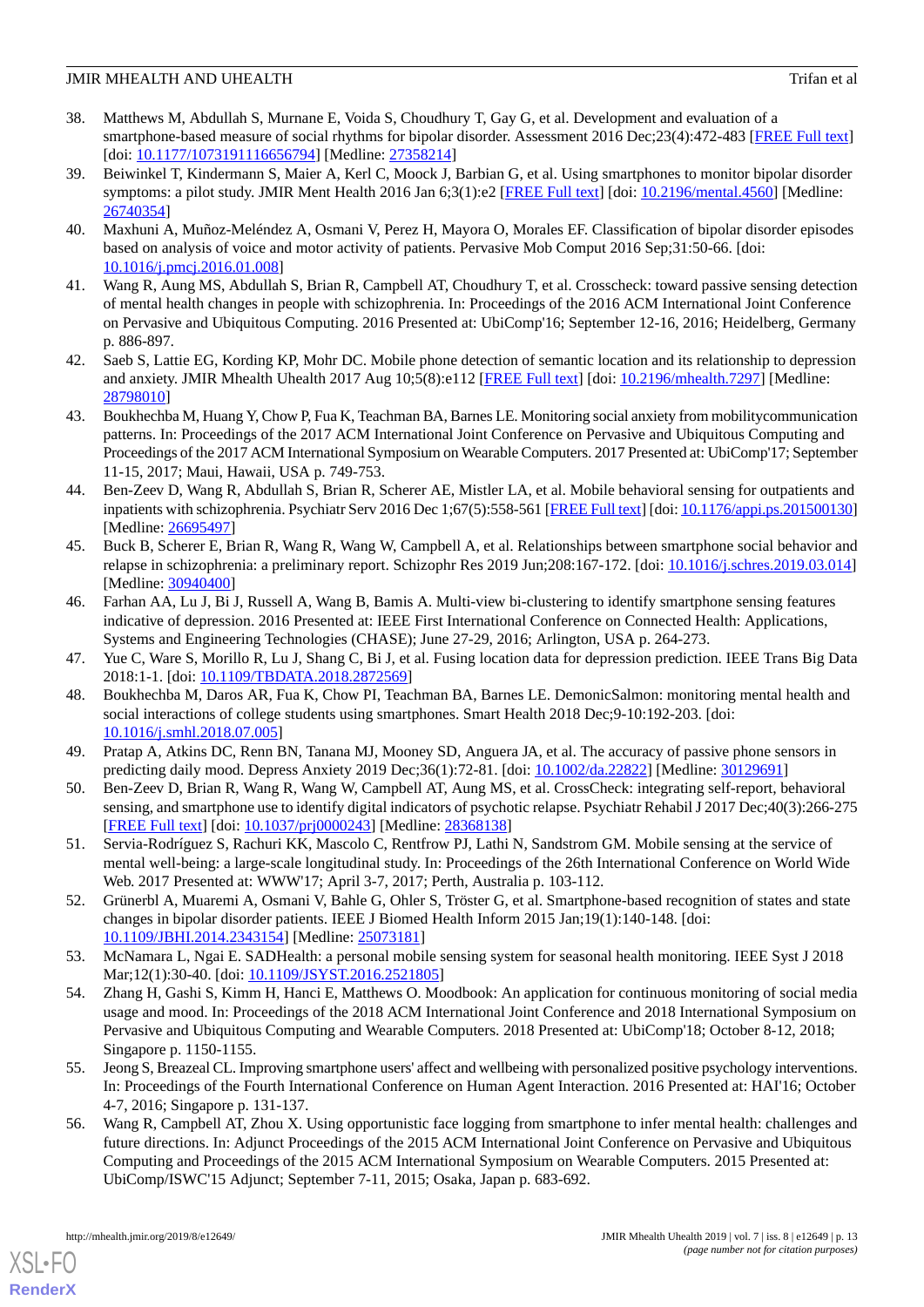- <span id="page-12-0"></span>38. Matthews M, Abdullah S, Murnane E, Voida S, Choudhury T, Gay G, et al. Development and evaluation of a smartphone-based measure of social rhythms for bipolar disorder. Assessment 2016 Dec;23(4):472-483 [\[FREE Full text\]](http://europepmc.org/abstract/MED/27358214) [doi: [10.1177/1073191116656794](http://dx.doi.org/10.1177/1073191116656794)] [Medline: [27358214\]](http://www.ncbi.nlm.nih.gov/entrez/query.fcgi?cmd=Retrieve&db=PubMed&list_uids=27358214&dopt=Abstract)
- <span id="page-12-13"></span>39. Beiwinkel T, Kindermann S, Maier A, Kerl C, Moock J, Barbian G, et al. Using smartphones to monitor bipolar disorder symptoms: a pilot study. JMIR Ment Health 2016 Jan 6;3(1):e2 [[FREE Full text](http://mental.jmir.org/2016/1/e2/)] [doi: [10.2196/mental.4560](http://dx.doi.org/10.2196/mental.4560)] [Medline: [26740354](http://www.ncbi.nlm.nih.gov/entrez/query.fcgi?cmd=Retrieve&db=PubMed&list_uids=26740354&dopt=Abstract)]
- <span id="page-12-18"></span>40. Maxhuni A, Muñoz-Meléndez A, Osmani V, Perez H, Mayora O, Morales EF. Classification of bipolar disorder episodes based on analysis of voice and motor activity of patients. Pervasive Mob Comput 2016 Sep;31:50-66. [doi: [10.1016/j.pmcj.2016.01.008\]](http://dx.doi.org/10.1016/j.pmcj.2016.01.008)
- <span id="page-12-16"></span>41. Wang R, Aung MS, Abdullah S, Brian R, Campbell AT, Choudhury T, et al. Crosscheck: toward passive sensing detection of mental health changes in people with schizophrenia. In: Proceedings of the 2016 ACM International Joint Conference on Pervasive and Ubiquitous Computing. 2016 Presented at: UbiComp'16; September 12-16, 2016; Heidelberg, Germany p. 886-897.
- <span id="page-12-2"></span><span id="page-12-1"></span>42. Saeb S, Lattie EG, Kording KP, Mohr DC. Mobile phone detection of semantic location and its relationship to depression and anxiety. JMIR Mhealth Uhealth 2017 Aug 10;5(8):e112 [\[FREE Full text\]](http://mhealth.jmir.org/2017/8/e112/) [doi: [10.2196/mhealth.7297\]](http://dx.doi.org/10.2196/mhealth.7297) [Medline: [28798010](http://www.ncbi.nlm.nih.gov/entrez/query.fcgi?cmd=Retrieve&db=PubMed&list_uids=28798010&dopt=Abstract)]
- <span id="page-12-3"></span>43. Boukhechba M, Huang Y, Chow P, Fua K, Teachman BA, Barnes LE. Monitoring social anxiety from mobilitycommunication patterns. In: Proceedings of the 2017 ACM International Joint Conference on Pervasive and Ubiquitous Computing and Proceedings of the 2017 ACM International Symposium on Wearable Computers. 2017 Presented at: UbiComp'17; September 11-15, 2017; Maui, Hawaii, USA p. 749-753.
- <span id="page-12-4"></span>44. Ben-Zeev D, Wang R, Abdullah S, Brian R, Scherer AE, Mistler LA, et al. Mobile behavioral sensing for outpatients and inpatients with schizophrenia. Psychiatr Serv 2016 Dec 1;67(5):558-561 [\[FREE Full text](http://europepmc.org/abstract/MED/26695497)] [doi: [10.1176/appi.ps.201500130](http://dx.doi.org/10.1176/appi.ps.201500130)] [Medline: [26695497](http://www.ncbi.nlm.nih.gov/entrez/query.fcgi?cmd=Retrieve&db=PubMed&list_uids=26695497&dopt=Abstract)]
- <span id="page-12-5"></span>45. Buck B, Scherer E, Brian R, Wang R, Wang W, Campbell A, et al. Relationships between smartphone social behavior and relapse in schizophrenia: a preliminary report. Schizophr Res 2019 Jun;208:167-172. [doi: [10.1016/j.schres.2019.03.014\]](http://dx.doi.org/10.1016/j.schres.2019.03.014) [Medline: [30940400](http://www.ncbi.nlm.nih.gov/entrez/query.fcgi?cmd=Retrieve&db=PubMed&list_uids=30940400&dopt=Abstract)]
- <span id="page-12-14"></span><span id="page-12-12"></span>46. Farhan AA, Lu J, Bi J, Russell A, Wang B, Bamis A. Multi-view bi-clustering to identify smartphone sensing features indicative of depression. 2016 Presented at: IEEE First International Conference on Connected Health: Applications, Systems and Engineering Technologies (CHASE); June 27-29, 2016; Arlington, USA p. 264-273.
- <span id="page-12-6"></span>47. Yue C, Ware S, Morillo R, Lu J, Shang C, Bi J, et al. Fusing location data for depression prediction. IEEE Trans Big Data 2018:1-1. [doi: [10.1109/TBDATA.2018.2872569](http://dx.doi.org/10.1109/TBDATA.2018.2872569)]
- <span id="page-12-7"></span>48. Boukhechba M, Daros AR, Fua K, Chow PI, Teachman BA, Barnes LE. DemonicSalmon: monitoring mental health and social interactions of college students using smartphones. Smart Health 2018 Dec;9-10:192-203. [doi: [10.1016/j.smhl.2018.07.005](http://dx.doi.org/10.1016/j.smhl.2018.07.005)]
- <span id="page-12-8"></span>49. Pratap A, Atkins DC, Renn BN, Tanana MJ, Mooney SD, Anguera JA, et al. The accuracy of passive phone sensors in predicting daily mood. Depress Anxiety 2019 Dec;36(1):72-81. [doi: [10.1002/da.22822](http://dx.doi.org/10.1002/da.22822)] [Medline: [30129691\]](http://www.ncbi.nlm.nih.gov/entrez/query.fcgi?cmd=Retrieve&db=PubMed&list_uids=30129691&dopt=Abstract)
- <span id="page-12-15"></span>50. Ben-Zeev D, Brian R, Wang R, Wang W, Campbell AT, Aung MS, et al. CrossCheck: integrating self-report, behavioral sensing, and smartphone use to identify digital indicators of psychotic relapse. Psychiatr Rehabil J 2017 Dec;40(3):266-275 [[FREE Full text](http://europepmc.org/abstract/MED/28368138)] [doi: [10.1037/prj0000243\]](http://dx.doi.org/10.1037/prj0000243) [Medline: [28368138\]](http://www.ncbi.nlm.nih.gov/entrez/query.fcgi?cmd=Retrieve&db=PubMed&list_uids=28368138&dopt=Abstract)
- <span id="page-12-17"></span>51. Servia-Rodríguez S, Rachuri KK, Mascolo C, Rentfrow PJ, Lathi N, Sandstrom GM. Mobile sensing at the service of mental well-being: a large-scale longitudinal study. In: Proceedings of the 26th International Conference on World Wide Web. 2017 Presented at: WWW'17; April 3-7, 2017; Perth, Australia p. 103-112.
- <span id="page-12-9"></span>52. Grünerbl A, Muaremi A, Osmani V, Bahle G, Ohler S, Tröster G, et al. Smartphone-based recognition of states and state changes in bipolar disorder patients. IEEE J Biomed Health Inform 2015 Jan;19(1):140-148. [doi: [10.1109/JBHI.2014.2343154\]](http://dx.doi.org/10.1109/JBHI.2014.2343154) [Medline: [25073181\]](http://www.ncbi.nlm.nih.gov/entrez/query.fcgi?cmd=Retrieve&db=PubMed&list_uids=25073181&dopt=Abstract)
- <span id="page-12-10"></span>53. McNamara L, Ngai E. SADHealth: a personal mobile sensing system for seasonal health monitoring. IEEE Syst J 2018 Mar;12(1):30-40. [doi: [10.1109/JSYST.2016.2521805](http://dx.doi.org/10.1109/JSYST.2016.2521805)]
- <span id="page-12-11"></span>54. Zhang H, Gashi S, Kimm H, Hanci E, Matthews O. Moodbook: An application for continuous monitoring of social media usage and mood. In: Proceedings of the 2018 ACM International Joint Conference and 2018 International Symposium on Pervasive and Ubiquitous Computing and Wearable Computers. 2018 Presented at: UbiComp'18; October 8-12, 2018; Singapore p. 1150-1155.
- 55. Jeong S, Breazeal CL. Improving smartphone users' affect and wellbeing with personalized positive psychology interventions. In: Proceedings of the Fourth International Conference on Human Agent Interaction. 2016 Presented at: HAI'16; October 4-7, 2016; Singapore p. 131-137.
- 56. Wang R, Campbell AT, Zhou X. Using opportunistic face logging from smartphone to infer mental health: challenges and future directions. In: Adjunct Proceedings of the 2015 ACM International Joint Conference on Pervasive and Ubiquitous Computing and Proceedings of the 2015 ACM International Symposium on Wearable Computers. 2015 Presented at: UbiComp/ISWC'15 Adjunct; September 7-11, 2015; Osaka, Japan p. 683-692.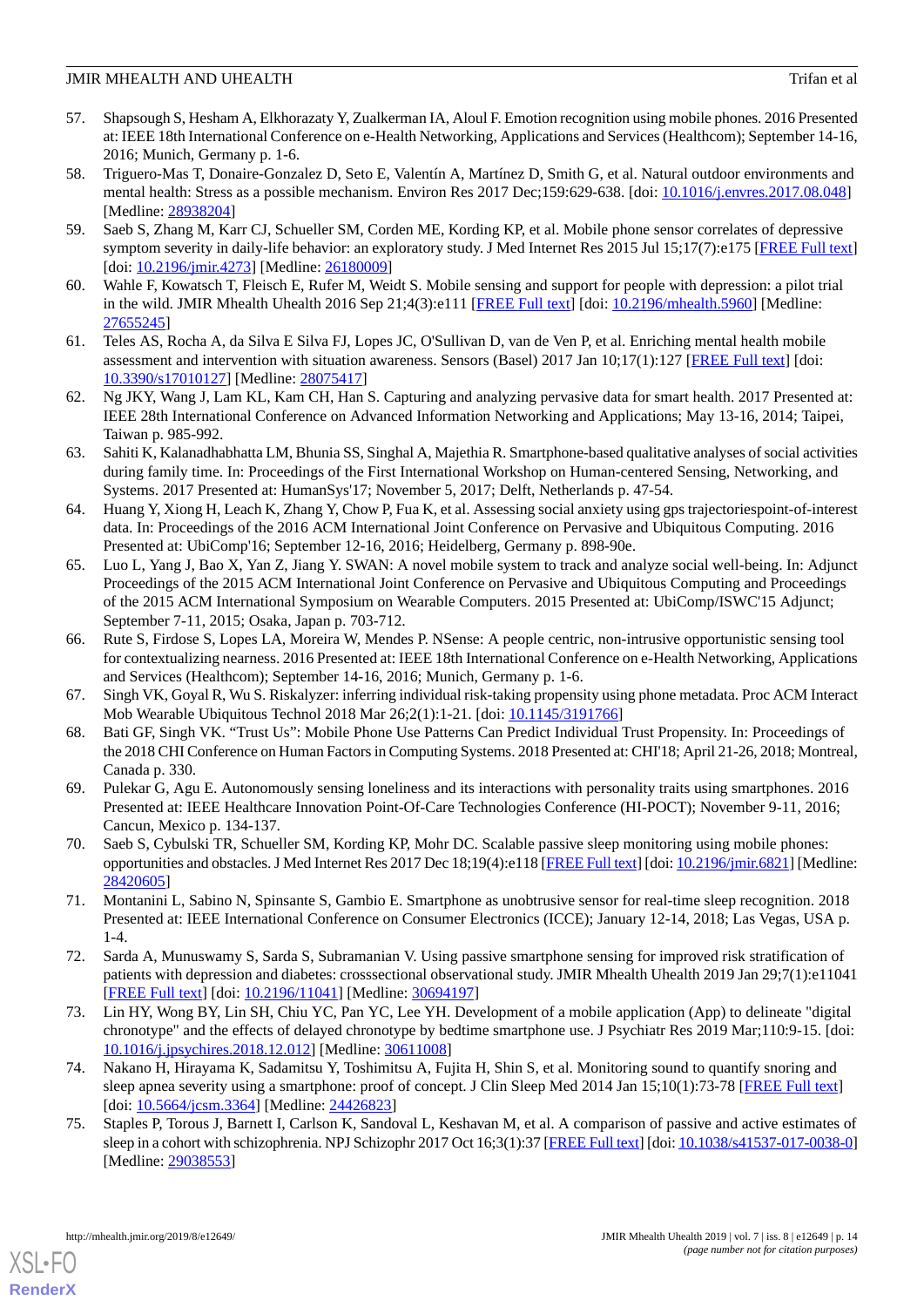- <span id="page-13-0"></span>57. Shapsough S, Hesham A, Elkhorazaty Y, Zualkerman IA, Aloul F. Emotion recognition using mobile phones. 2016 Presented at: IEEE 18th International Conference on e-Health Networking, Applications and Services (Healthcom); September 14-16, 2016; Munich, Germany p. 1-6.
- <span id="page-13-1"></span>58. Triguero-Mas T, Donaire-Gonzalez D, Seto E, Valentín A, Martínez D, Smith G, et al. Natural outdoor environments and mental health: Stress as a possible mechanism. Environ Res 2017 Dec;159:629-638. [doi: [10.1016/j.envres.2017.08.048](http://dx.doi.org/10.1016/j.envres.2017.08.048)] [Medline: [28938204](http://www.ncbi.nlm.nih.gov/entrez/query.fcgi?cmd=Retrieve&db=PubMed&list_uids=28938204&dopt=Abstract)]
- <span id="page-13-2"></span>59. Saeb S, Zhang M, Karr CJ, Schueller SM, Corden ME, Kording KP, et al. Mobile phone sensor correlates of depressive symptom severity in daily-life behavior: an exploratory study. J Med Internet Res 2015 Jul 15;17(7):e175 [[FREE Full text](http://www.jmir.org/2015/7/e175/)] [doi: [10.2196/jmir.4273\]](http://dx.doi.org/10.2196/jmir.4273) [Medline: [26180009\]](http://www.ncbi.nlm.nih.gov/entrez/query.fcgi?cmd=Retrieve&db=PubMed&list_uids=26180009&dopt=Abstract)
- <span id="page-13-4"></span><span id="page-13-3"></span>60. Wahle F, Kowatsch T, Fleisch E, Rufer M, Weidt S. Mobile sensing and support for people with depression: a pilot trial in the wild. JMIR Mhealth Uhealth 2016 Sep 21;4(3):e111 [\[FREE Full text\]](http://mhealth.jmir.org/2016/3/e111/) [doi: [10.2196/mhealth.5960\]](http://dx.doi.org/10.2196/mhealth.5960) [Medline: [27655245](http://www.ncbi.nlm.nih.gov/entrez/query.fcgi?cmd=Retrieve&db=PubMed&list_uids=27655245&dopt=Abstract)]
- <span id="page-13-5"></span>61. Teles AS, Rocha A, da Silva E Silva FJ, Lopes JC, O'Sullivan D, van de Ven P, et al. Enriching mental health mobile assessment and intervention with situation awareness. Sensors (Basel) 2017 Jan 10;17(1):127 [[FREE Full text\]](http://www.mdpi.com/resolver?pii=s17010127) [doi: [10.3390/s17010127\]](http://dx.doi.org/10.3390/s17010127) [Medline: [28075417\]](http://www.ncbi.nlm.nih.gov/entrez/query.fcgi?cmd=Retrieve&db=PubMed&list_uids=28075417&dopt=Abstract)
- <span id="page-13-6"></span>62. Ng JKY, Wang J, Lam KL, Kam CH, Han S. Capturing and analyzing pervasive data for smart health. 2017 Presented at: IEEE 28th International Conference on Advanced Information Networking and Applications; May 13-16, 2014; Taipei, Taiwan p. 985-992.
- <span id="page-13-7"></span>63. Sahiti K, Kalanadhabhatta LM, Bhunia SS, Singhal A, Majethia R. Smartphone-based qualitative analyses of social activities during family time. In: Proceedings of the First International Workshop on Human-centered Sensing, Networking, and Systems. 2017 Presented at: HumanSys'17; November 5, 2017; Delft, Netherlands p. 47-54.
- <span id="page-13-8"></span>64. Huang Y, Xiong H, Leach K, Zhang Y, Chow P, Fua K, et al. Assessing social anxiety using gps trajectoriespoint-of-interest data. In: Proceedings of the 2016 ACM International Joint Conference on Pervasive and Ubiquitous Computing. 2016 Presented at: UbiComp'16; September 12-16, 2016; Heidelberg, Germany p. 898-90e.
- <span id="page-13-9"></span>65. Luo L, Yang J, Bao X, Yan Z, Jiang Y. SWAN: A novel mobile system to track and analyze social well-being. In: Adjunct Proceedings of the 2015 ACM International Joint Conference on Pervasive and Ubiquitous Computing and Proceedings of the 2015 ACM International Symposium on Wearable Computers. 2015 Presented at: UbiComp/ISWC'15 Adjunct; September 7-11, 2015; Osaka, Japan p. 703-712.
- <span id="page-13-11"></span><span id="page-13-10"></span>66. Rute S, Firdose S, Lopes LA, Moreira W, Mendes P. NSense: A people centric, non-intrusive opportunistic sensing tool for contextualizing nearness. 2016 Presented at: IEEE 18th International Conference on e-Health Networking, Applications and Services (Healthcom); September 14-16, 2016; Munich, Germany p. 1-6.
- <span id="page-13-12"></span>67. Singh VK, Goyal R, Wu S. Riskalyzer: inferring individual risk-taking propensity using phone metadata. Proc ACM Interact Mob Wearable Ubiquitous Technol 2018 Mar 26;2(1):1-21. [doi: [10.1145/3191766](http://dx.doi.org/10.1145/3191766)]
- 68. Bati GF, Singh VK. "Trust Us": Mobile Phone Use Patterns Can Predict Individual Trust Propensity. In: Proceedings of the 2018 CHI Conference on Human Factors in Computing Systems. 2018 Presented at: CHI'18; April 21-26, 2018; Montreal, Canada p. 330.
- <span id="page-13-16"></span><span id="page-13-13"></span>69. Pulekar G, Agu E. Autonomously sensing loneliness and its interactions with personality traits using smartphones. 2016 Presented at: IEEE Healthcare Innovation Point-Of-Care Technologies Conference (HI-POCT); November 9-11, 2016; Cancun, Mexico p. 134-137.
- <span id="page-13-18"></span>70. Saeb S, Cybulski TR, Schueller SM, Kording KP, Mohr DC. Scalable passive sleep monitoring using mobile phones: opportunities and obstacles. J Med Internet Res 2017 Dec 18;19(4):e118 [\[FREE Full text](http://www.jmir.org/2017/4/e118/)] [doi: [10.2196/jmir.6821\]](http://dx.doi.org/10.2196/jmir.6821) [Medline: [28420605](http://www.ncbi.nlm.nih.gov/entrez/query.fcgi?cmd=Retrieve&db=PubMed&list_uids=28420605&dopt=Abstract)]
- <span id="page-13-17"></span>71. Montanini L, Sabino N, Spinsante S, Gambio E. Smartphone as unobtrusive sensor for real-time sleep recognition. 2018 Presented at: IEEE International Conference on Consumer Electronics (ICCE); January 12-14, 2018; Las Vegas, USA p. 1-4.
- <span id="page-13-14"></span>72. Sarda A, Munuswamy S, Sarda S, Subramanian V. Using passive smartphone sensing for improved risk stratification of patients with depression and diabetes: crosssectional observational study. JMIR Mhealth Uhealth 2019 Jan 29;7(1):e11041 [[FREE Full text](http://mhealth.jmir.org/2019/1/e11041/)] [doi: [10.2196/11041\]](http://dx.doi.org/10.2196/11041) [Medline: [30694197\]](http://www.ncbi.nlm.nih.gov/entrez/query.fcgi?cmd=Retrieve&db=PubMed&list_uids=30694197&dopt=Abstract)
- <span id="page-13-15"></span>73. Lin HY, Wong BY, Lin SH, Chiu YC, Pan YC, Lee YH. Development of a mobile application (App) to delineate "digital chronotype" and the effects of delayed chronotype by bedtime smartphone use. J Psychiatr Res 2019 Mar;110:9-15. [doi: [10.1016/j.jpsychires.2018.12.012](http://dx.doi.org/10.1016/j.jpsychires.2018.12.012)] [Medline: [30611008\]](http://www.ncbi.nlm.nih.gov/entrez/query.fcgi?cmd=Retrieve&db=PubMed&list_uids=30611008&dopt=Abstract)
- 74. Nakano H, Hirayama K, Sadamitsu Y, Toshimitsu A, Fujita H, Shin S, et al. Monitoring sound to quantify snoring and sleep apnea severity using a smartphone: proof of concept. J Clin Sleep Med 2014 Jan 15;10(1):73-78 [[FREE Full text](https://doi.org/10.5664/jcsm.3364)] [doi: [10.5664/jcsm.3364\]](http://dx.doi.org/10.5664/jcsm.3364) [Medline: [24426823](http://www.ncbi.nlm.nih.gov/entrez/query.fcgi?cmd=Retrieve&db=PubMed&list_uids=24426823&dopt=Abstract)]
- 75. Staples P, Torous J, Barnett I, Carlson K, Sandoval L, Keshavan M, et al. A comparison of passive and active estimates of sleep in a cohort with schizophrenia. NPJ Schizophr 2017 Oct 16;3(1):37 [[FREE Full text\]](http://europepmc.org/abstract/MED/29038553) [doi: [10.1038/s41537-017-0038-0\]](http://dx.doi.org/10.1038/s41537-017-0038-0) [Medline: [29038553](http://www.ncbi.nlm.nih.gov/entrez/query.fcgi?cmd=Retrieve&db=PubMed&list_uids=29038553&dopt=Abstract)]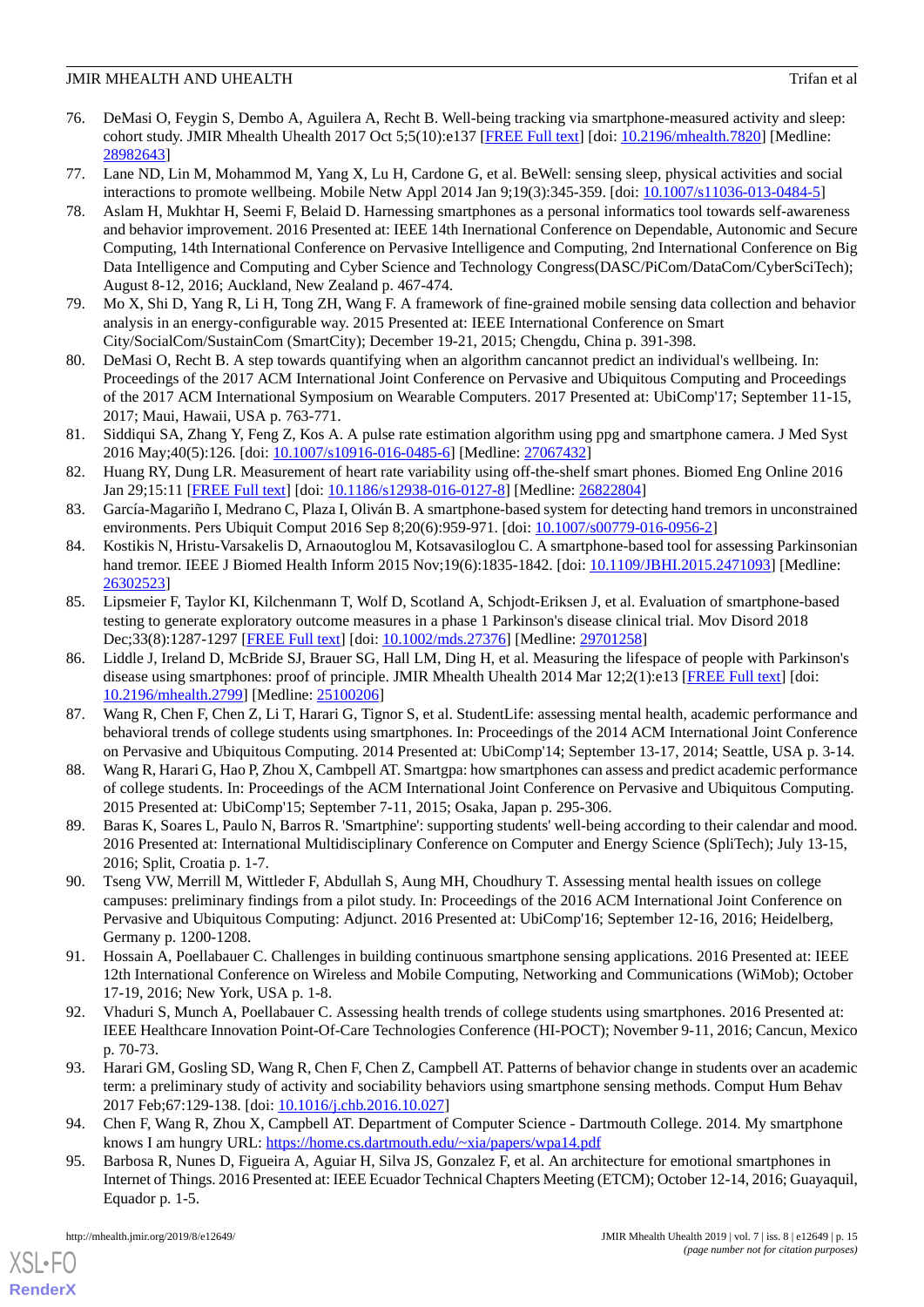- <span id="page-14-0"></span>76. DeMasi O, Feygin S, Dembo A, Aguilera A, Recht B. Well-being tracking via smartphone-measured activity and sleep: cohort study. JMIR Mhealth Uhealth 2017 Oct 5;5(10):e137 [[FREE Full text](http://mhealth.jmir.org/2017/10/e137/)] [doi: [10.2196/mhealth.7820](http://dx.doi.org/10.2196/mhealth.7820)] [Medline: [28982643](http://www.ncbi.nlm.nih.gov/entrez/query.fcgi?cmd=Retrieve&db=PubMed&list_uids=28982643&dopt=Abstract)]
- <span id="page-14-17"></span><span id="page-14-14"></span>77. Lane ND, Lin M, Mohammod M, Yang X, Lu H, Cardone G, et al. BeWell: sensing sleep, physical activities and social interactions to promote wellbeing. Mobile Netw Appl 2014 Jan 9;19(3):345-359. [doi: [10.1007/s11036-013-0484-5\]](http://dx.doi.org/10.1007/s11036-013-0484-5)
- 78. Aslam H, Mukhtar H, Seemi F, Belaid D. Harnessing smartphones as a personal informatics tool towards self-awareness and behavior improvement. 2016 Presented at: IEEE 14th Inernational Conference on Dependable, Autonomic and Secure Computing, 14th International Conference on Pervasive Intelligence and Computing, 2nd International Conference on Big Data Intelligence and Computing and Cyber Science and Technology Congress(DASC/PiCom/DataCom/CyberSciTech); August 8-12, 2016; Auckland, New Zealand p. 467-474.
- <span id="page-14-16"></span><span id="page-14-1"></span>79. Mo X, Shi D, Yang R, Li H, Tong ZH, Wang F. A framework of fine-grained mobile sensing data collection and behavior analysis in an energy-configurable way. 2015 Presented at: IEEE International Conference on Smart City/SocialCom/SustainCom (SmartCity); December 19-21, 2015; Chengdu, China p. 391-398.
- <span id="page-14-2"></span>80. DeMasi O, Recht B. A step towards quantifying when an algorithm cancannot predict an individual's wellbeing. In: Proceedings of the 2017 ACM International Joint Conference on Pervasive and Ubiquitous Computing and Proceedings of the 2017 ACM International Symposium on Wearable Computers. 2017 Presented at: UbiComp'17; September 11-15, 2017; Maui, Hawaii, USA p. 763-771.
- <span id="page-14-3"></span>81. Siddiqui SA, Zhang Y, Feng Z, Kos A. A pulse rate estimation algorithm using ppg and smartphone camera. J Med Syst 2016 May;40(5):126. [doi: [10.1007/s10916-016-0485-6](http://dx.doi.org/10.1007/s10916-016-0485-6)] [Medline: [27067432\]](http://www.ncbi.nlm.nih.gov/entrez/query.fcgi?cmd=Retrieve&db=PubMed&list_uids=27067432&dopt=Abstract)
- <span id="page-14-4"></span>82. Huang RY, Dung LR. Measurement of heart rate variability using off-the-shelf smart phones. Biomed Eng Online 2016 Jan 29;15:11 [[FREE Full text](https://biomedical-engineering-online.biomedcentral.com/articles/10.1186/s12938-016-0127-8)] [doi: [10.1186/s12938-016-0127-8\]](http://dx.doi.org/10.1186/s12938-016-0127-8) [Medline: [26822804](http://www.ncbi.nlm.nih.gov/entrez/query.fcgi?cmd=Retrieve&db=PubMed&list_uids=26822804&dopt=Abstract)]
- <span id="page-14-13"></span>83. García-Magariño I, Medrano C, Plaza I, Oliván B. A smartphone-based system for detecting hand tremors in unconstrained environments. Pers Ubiquit Comput 2016 Sep 8;20(6):959-971. [doi: [10.1007/s00779-016-0956-2](http://dx.doi.org/10.1007/s00779-016-0956-2)]
- <span id="page-14-18"></span>84. Kostikis N, Hristu-Varsakelis D, Arnaoutoglou M, Kotsavasiloglou C. A smartphone-based tool for assessing Parkinsonian hand tremor. IEEE J Biomed Health Inform 2015 Nov;19(6):1835-1842. [doi: [10.1109/JBHI.2015.2471093\]](http://dx.doi.org/10.1109/JBHI.2015.2471093) [Medline: [26302523](http://www.ncbi.nlm.nih.gov/entrez/query.fcgi?cmd=Retrieve&db=PubMed&list_uids=26302523&dopt=Abstract)]
- <span id="page-14-5"></span>85. Lipsmeier F, Taylor KI, Kilchenmann T, Wolf D, Scotland A, Schjodt-Eriksen J, et al. Evaluation of smartphone-based testing to generate exploratory outcome measures in a phase 1 Parkinson's disease clinical trial. Mov Disord 2018 Dec;33(8):1287-1297 [\[FREE Full text](http://europepmc.org/abstract/MED/29701258)] [doi: [10.1002/mds.27376](http://dx.doi.org/10.1002/mds.27376)] [Medline: [29701258\]](http://www.ncbi.nlm.nih.gov/entrez/query.fcgi?cmd=Retrieve&db=PubMed&list_uids=29701258&dopt=Abstract)
- <span id="page-14-6"></span>86. Liddle J, Ireland D, McBride SJ, Brauer SG, Hall LM, Ding H, et al. Measuring the lifespace of people with Parkinson's disease using smartphones: proof of principle. JMIR Mhealth Uhealth 2014 Mar 12;2(1):e13 [[FREE Full text](http://mhealth.jmir.org/2014/1/e13/)] [doi: [10.2196/mhealth.2799](http://dx.doi.org/10.2196/mhealth.2799)] [Medline: [25100206](http://www.ncbi.nlm.nih.gov/entrez/query.fcgi?cmd=Retrieve&db=PubMed&list_uids=25100206&dopt=Abstract)]
- <span id="page-14-11"></span>87. Wang R, Chen F, Chen Z, Li T, Harari G, Tignor S, et al. StudentLife: assessing mental health, academic performance and behavioral trends of college students using smartphones. In: Proceedings of the 2014 ACM International Joint Conference on Pervasive and Ubiquitous Computing. 2014 Presented at: UbiComp'14; September 13-17, 2014; Seattle, USA p. 3-14.
- <span id="page-14-8"></span><span id="page-14-7"></span>88. Wang R, Harari G, Hao P, Zhou X, Cambpell AT. Smartgpa: how smartphones can assess and predict academic performance of college students. In: Proceedings of the ACM International Joint Conference on Pervasive and Ubiquitous Computing. 2015 Presented at: UbiComp'15; September 7-11, 2015; Osaka, Japan p. 295-306.
- 89. Baras K, Soares L, Paulo N, Barros R. 'Smartphine': supporting students' well-being according to their calendar and mood. 2016 Presented at: International Multidisciplinary Conference on Computer and Energy Science (SpliTech); July 13-15, 2016; Split, Croatia p. 1-7.
- <span id="page-14-19"></span><span id="page-14-12"></span>90. Tseng VW, Merrill M, Wittleder F, Abdullah S, Aung MH, Choudhury T. Assessing mental health issues on college campuses: preliminary findings from a pilot study. In: Proceedings of the 2016 ACM International Joint Conference on Pervasive and Ubiquitous Computing: Adjunct. 2016 Presented at: UbiComp'16; September 12-16, 2016; Heidelberg, Germany p. 1200-1208.
- <span id="page-14-9"></span>91. Hossain A, Poellabauer C. Challenges in building continuous smartphone sensing applications. 2016 Presented at: IEEE 12th International Conference on Wireless and Mobile Computing, Networking and Communications (WiMob); October 17-19, 2016; New York, USA p. 1-8.
- <span id="page-14-10"></span>92. Vhaduri S, Munch A, Poellabauer C. Assessing health trends of college students using smartphones. 2016 Presented at: IEEE Healthcare Innovation Point-Of-Care Technologies Conference (HI-POCT); November 9-11, 2016; Cancun, Mexico p. 70-73.
- <span id="page-14-15"></span>93. Harari GM, Gosling SD, Wang R, Chen F, Chen Z, Campbell AT. Patterns of behavior change in students over an academic term: a preliminary study of activity and sociability behaviors using smartphone sensing methods. Comput Hum Behav 2017 Feb;67:129-138. [doi: [10.1016/j.chb.2016.10.027](http://dx.doi.org/10.1016/j.chb.2016.10.027)]
- 94. Chen F, Wang R, Zhou X, Campbell AT. Department of Computer Science Dartmouth College. 2014. My smartphone knows I am hungry URL: <https://home.cs.dartmouth.edu/~xia/papers/wpa14.pdf>
- 95. Barbosa R, Nunes D, Figueira A, Aguiar H, Silva JS, Gonzalez F, et al. An architecture for emotional smartphones in Internet of Things. 2016 Presented at: IEEE Ecuador Technical Chapters Meeting (ETCM); October 12-14, 2016; Guayaquil, Equador p. 1-5.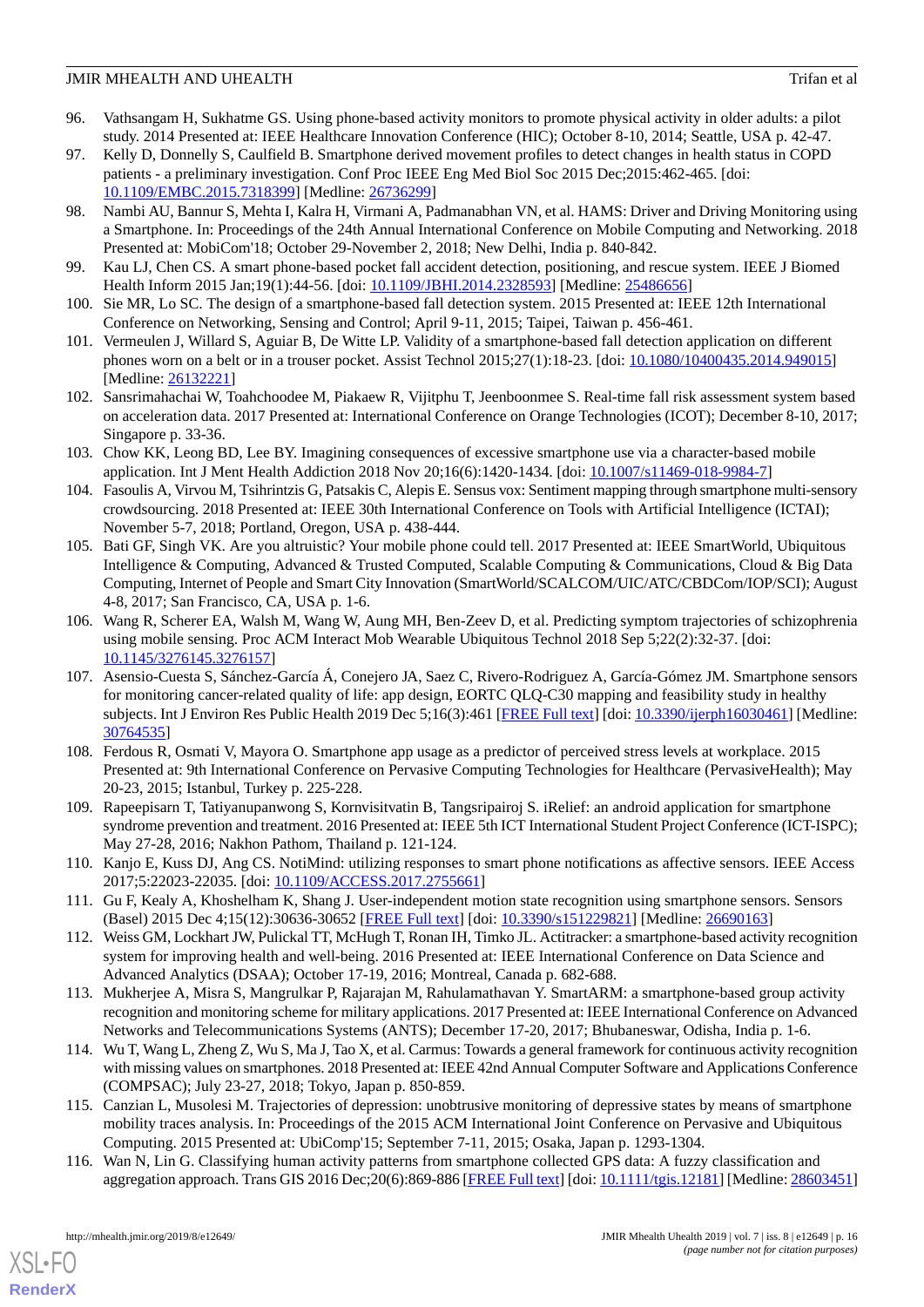- 96. Vathsangam H, Sukhatme GS. Using phone-based activity monitors to promote physical activity in older adults: a pilot study. 2014 Presented at: IEEE Healthcare Innovation Conference (HIC); October 8-10, 2014; Seattle, USA p. 42-47.
- <span id="page-15-0"></span>97. Kelly D, Donnelly S, Caulfield B. Smartphone derived movement profiles to detect changes in health status in COPD patients - a preliminary investigation. Conf Proc IEEE Eng Med Biol Soc 2015 Dec;2015:462-465. [doi: [10.1109/EMBC.2015.7318399](http://dx.doi.org/10.1109/EMBC.2015.7318399)] [Medline: [26736299\]](http://www.ncbi.nlm.nih.gov/entrez/query.fcgi?cmd=Retrieve&db=PubMed&list_uids=26736299&dopt=Abstract)
- <span id="page-15-1"></span>98. Nambi AU, Bannur S, Mehta I, Kalra H, Virmani A, Padmanabhan VN, et al. HAMS: Driver and Driving Monitoring using a Smartphone. In: Proceedings of the 24th Annual International Conference on Mobile Computing and Networking. 2018 Presented at: MobiCom'18; October 29-November 2, 2018; New Delhi, India p. 840-842.
- <span id="page-15-2"></span>99. Kau LJ, Chen CS. A smart phone-based pocket fall accident detection, positioning, and rescue system. IEEE J Biomed Health Inform 2015 Jan;19(1):44-56. [doi: [10.1109/JBHI.2014.2328593](http://dx.doi.org/10.1109/JBHI.2014.2328593)] [Medline: [25486656\]](http://www.ncbi.nlm.nih.gov/entrez/query.fcgi?cmd=Retrieve&db=PubMed&list_uids=25486656&dopt=Abstract)
- 100. Sie MR, Lo SC. The design of a smartphone-based fall detection system. 2015 Presented at: IEEE 12th International Conference on Networking, Sensing and Control; April 9-11, 2015; Taipei, Taiwan p. 456-461.
- <span id="page-15-3"></span>101. Vermeulen J, Willard S, Aguiar B, De Witte LP. Validity of a smartphone-based fall detection application on different phones worn on a belt or in a trouser pocket. Assist Technol 2015;27(1):18-23. [doi: [10.1080/10400435.2014.949015\]](http://dx.doi.org/10.1080/10400435.2014.949015) [Medline: [26132221](http://www.ncbi.nlm.nih.gov/entrez/query.fcgi?cmd=Retrieve&db=PubMed&list_uids=26132221&dopt=Abstract)]
- <span id="page-15-4"></span>102. Sansrimahachai W, Toahchoodee M, Piakaew R, Vijitphu T, Jeenboonmee S. Real-time fall risk assessment system based on acceleration data. 2017 Presented at: International Conference on Orange Technologies (ICOT); December 8-10, 2017; Singapore p. 33-36.
- <span id="page-15-5"></span>103. Chow KK, Leong BD, Lee BY. Imagining consequences of excessive smartphone use via a character-based mobile application. Int J Ment Health Addiction 2018 Nov 20;16(6):1420-1434. [doi: [10.1007/s11469-018-9984-7](http://dx.doi.org/10.1007/s11469-018-9984-7)]
- <span id="page-15-6"></span>104. Fasoulis A, Virvou M, Tsihrintzis G, Patsakis C, Alepis E. Sensus vox: Sentiment mapping through smartphone multi-sensory crowdsourcing. 2018 Presented at: IEEE 30th International Conference on Tools with Artificial Intelligence (ICTAI); November 5-7, 2018; Portland, Oregon, USA p. 438-444.
- <span id="page-15-8"></span>105. Bati GF, Singh VK. Are you altruistic? Your mobile phone could tell. 2017 Presented at: IEEE SmartWorld, Ubiquitous Intelligence & Computing, Advanced & Trusted Computed, Scalable Computing & Communications, Cloud & Big Data Computing, Internet of People and Smart City Innovation (SmartWorld/SCALCOM/UIC/ATC/CBDCom/IOP/SCI); August 4-8, 2017; San Francisco, CA, USA p. 1-6.
- <span id="page-15-7"></span>106. Wang R, Scherer EA, Walsh M, Wang W, Aung MH, Ben-Zeev D, et al. Predicting symptom trajectories of schizophrenia using mobile sensing. Proc ACM Interact Mob Wearable Ubiquitous Technol 2018 Sep 5;22(2):32-37. [doi: [10.1145/3276145.3276157](http://dx.doi.org/10.1145/3276145.3276157)]
- <span id="page-15-9"></span>107. Asensio-Cuesta S, Sánchez-García Á, Conejero JA, Saez C, Rivero-Rodriguez A, García-Gómez JM. Smartphone sensors for monitoring cancer-related quality of life: app design, EORTC QLQ-C30 mapping and feasibility study in healthy subjects. Int J Environ Res Public Health 2019 Dec 5;16(3):461 [\[FREE Full text\]](http://www.mdpi.com/resolver?pii=ijerph16030461) [doi: [10.3390/ijerph16030461\]](http://dx.doi.org/10.3390/ijerph16030461) [Medline: [30764535](http://www.ncbi.nlm.nih.gov/entrez/query.fcgi?cmd=Retrieve&db=PubMed&list_uids=30764535&dopt=Abstract)]
- <span id="page-15-15"></span><span id="page-15-10"></span>108. Ferdous R, Osmati V, Mayora O. Smartphone app usage as a predictor of perceived stress levels at workplace. 2015 Presented at: 9th International Conference on Pervasive Computing Technologies for Healthcare (PervasiveHealth); May 20-23, 2015; Istanbul, Turkey p. 225-228.
- <span id="page-15-11"></span>109. Rapeepisarn T, Tatiyanupanwong S, Kornvisitvatin B, Tangsripairoj S. iRelief: an android application for smartphone syndrome prevention and treatment. 2016 Presented at: IEEE 5th ICT International Student Project Conference (ICT-ISPC); May 27-28, 2016; Nakhon Pathom, Thailand p. 121-124.
- 110. Kanjo E, Kuss DJ, Ang CS. NotiMind: utilizing responses to smart phone notifications as affective sensors. IEEE Access 2017;5:22023-22035. [doi: [10.1109/ACCESS.2017.2755661\]](http://dx.doi.org/10.1109/ACCESS.2017.2755661)
- <span id="page-15-13"></span>111. Gu F, Kealy A, Khoshelham K, Shang J. User-independent motion state recognition using smartphone sensors. Sensors (Basel) 2015 Dec 4;15(12):30636-30652 [\[FREE Full text\]](http://www.mdpi.com/resolver?pii=s151229821) [doi: [10.3390/s151229821](http://dx.doi.org/10.3390/s151229821)] [Medline: [26690163\]](http://www.ncbi.nlm.nih.gov/entrez/query.fcgi?cmd=Retrieve&db=PubMed&list_uids=26690163&dopt=Abstract)
- <span id="page-15-12"></span>112. Weiss GM, Lockhart JW, Pulickal TT, McHugh T, Ronan IH, Timko JL. Actitracker: a smartphone-based activity recognition system for improving health and well-being. 2016 Presented at: IEEE International Conference on Data Science and Advanced Analytics (DSAA); October 17-19, 2016; Montreal, Canada p. 682-688.
- <span id="page-15-14"></span>113. Mukherjee A, Misra S, Mangrulkar P, Rajarajan M, Rahulamathavan Y. SmartARM: a smartphone-based group activity recognition and monitoring scheme for military applications. 2017 Presented at: IEEE International Conference on Advanced Networks and Telecommunications Systems (ANTS); December 17-20, 2017; Bhubaneswar, Odisha, India p. 1-6.
- 114. Wu T, Wang L, Zheng Z, Wu S, Ma J, Tao X, et al. Carmus: Towards a general framework for continuous activity recognition with missing values on smartphones. 2018 Presented at: IEEE 42nd Annual Computer Software and Applications Conference (COMPSAC); July 23-27, 2018; Tokyo, Japan p. 850-859.
- 115. Canzian L, Musolesi M. Trajectories of depression: unobtrusive monitoring of depressive states by means of smartphone mobility traces analysis. In: Proceedings of the 2015 ACM International Joint Conference on Pervasive and Ubiquitous Computing. 2015 Presented at: UbiComp'15; September 7-11, 2015; Osaka, Japan p. 1293-1304.
- 116. Wan N, Lin G. Classifying human activity patterns from smartphone collected GPS data: A fuzzy classification and aggregation approach. Trans GIS 2016 Dec; 20(6): 869-886 [[FREE Full text\]](http://europepmc.org/abstract/MED/28603451) [doi: [10.1111/tgis.12181](http://dx.doi.org/10.1111/tgis.12181)] [Medline: [28603451\]](http://www.ncbi.nlm.nih.gov/entrez/query.fcgi?cmd=Retrieve&db=PubMed&list_uids=28603451&dopt=Abstract)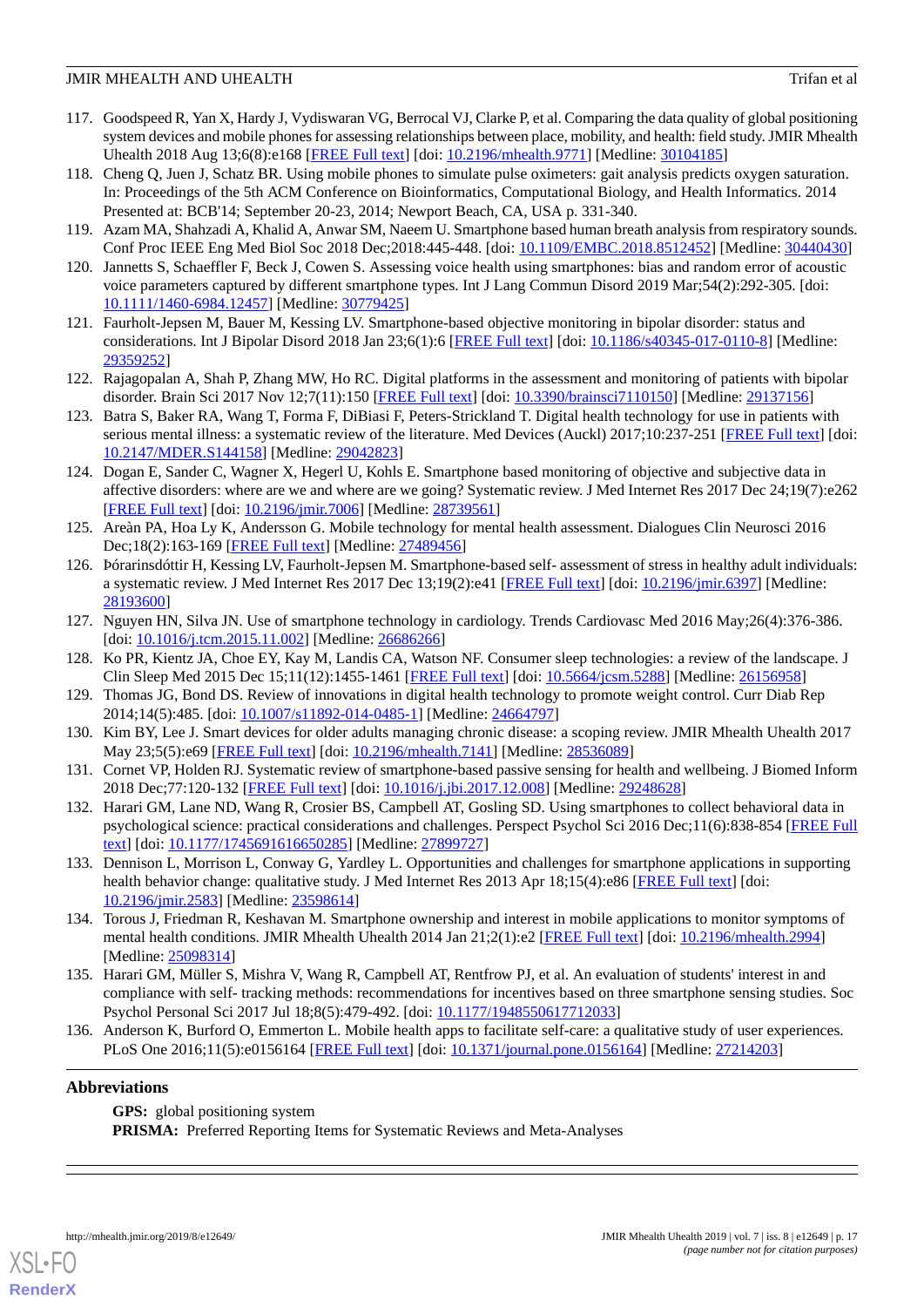- <span id="page-16-0"></span>117. Goodspeed R, Yan X, Hardy J, Vydiswaran VG, Berrocal VJ, Clarke P, et al. Comparing the data quality of global positioning system devices and mobile phones for assessing relationships between place, mobility, and health: field study. JMIR Mhealth Uhealth 2018 Aug 13;6(8):e168 [\[FREE Full text\]](http://mhealth.jmir.org/2018/8/e168/) [doi: [10.2196/mhealth.9771](http://dx.doi.org/10.2196/mhealth.9771)] [Medline: [30104185\]](http://www.ncbi.nlm.nih.gov/entrez/query.fcgi?cmd=Retrieve&db=PubMed&list_uids=30104185&dopt=Abstract)
- <span id="page-16-1"></span>118. Cheng Q, Juen J, Schatz BR. Using mobile phones to simulate pulse oximeters: gait analysis predicts oxygen saturation. In: Proceedings of the 5th ACM Conference on Bioinformatics, Computational Biology, and Health Informatics. 2014 Presented at: BCB'14; September 20-23, 2014; Newport Beach, CA, USA p. 331-340.
- <span id="page-16-3"></span><span id="page-16-2"></span>119. Azam MA, Shahzadi A, Khalid A, Anwar SM, Naeem U. Smartphone based human breath analysis from respiratory sounds. Conf Proc IEEE Eng Med Biol Soc 2018 Dec;2018:445-448. [doi: [10.1109/EMBC.2018.8512452](http://dx.doi.org/10.1109/EMBC.2018.8512452)] [Medline: [30440430\]](http://www.ncbi.nlm.nih.gov/entrez/query.fcgi?cmd=Retrieve&db=PubMed&list_uids=30440430&dopt=Abstract)
- <span id="page-16-4"></span>120. Jannetts S, Schaeffler F, Beck J, Cowen S. Assessing voice health using smartphones: bias and random error of acoustic voice parameters captured by different smartphone types. Int J Lang Commun Disord 2019 Mar;54(2):292-305. [doi: [10.1111/1460-6984.12457\]](http://dx.doi.org/10.1111/1460-6984.12457) [Medline: [30779425](http://www.ncbi.nlm.nih.gov/entrez/query.fcgi?cmd=Retrieve&db=PubMed&list_uids=30779425&dopt=Abstract)]
- <span id="page-16-15"></span>121. Faurholt-Jepsen M, Bauer M, Kessing LV. Smartphone-based objective monitoring in bipolar disorder: status and considerations. Int J Bipolar Disord 2018 Jan 23;6(1):6 [[FREE Full text](http://europepmc.org/abstract/MED/29359252)] [doi: [10.1186/s40345-017-0110-8\]](http://dx.doi.org/10.1186/s40345-017-0110-8) [Medline: [29359252](http://www.ncbi.nlm.nih.gov/entrez/query.fcgi?cmd=Retrieve&db=PubMed&list_uids=29359252&dopt=Abstract)]
- <span id="page-16-13"></span>122. Rajagopalan A, Shah P, Zhang MW, Ho RC. Digital platforms in the assessment and monitoring of patients with bipolar disorder. Brain Sci 2017 Nov 12;7(11):150 [[FREE Full text](http://www.mdpi.com/resolver?pii=brainsci7110150)] [doi: [10.3390/brainsci7110150](http://dx.doi.org/10.3390/brainsci7110150)] [Medline: [29137156](http://www.ncbi.nlm.nih.gov/entrez/query.fcgi?cmd=Retrieve&db=PubMed&list_uids=29137156&dopt=Abstract)]
- <span id="page-16-14"></span>123. Batra S, Baker RA, Wang T, Forma F, DiBiasi F, Peters-Strickland T. Digital health technology for use in patients with serious mental illness: a systematic review of the literature. Med Devices (Auckl) 2017;10:237-251 [[FREE Full text](https://dx.doi.org/10.2147/MDER.S144158)] [doi: [10.2147/MDER.S144158\]](http://dx.doi.org/10.2147/MDER.S144158) [Medline: [29042823](http://www.ncbi.nlm.nih.gov/entrez/query.fcgi?cmd=Retrieve&db=PubMed&list_uids=29042823&dopt=Abstract)]
- <span id="page-16-5"></span>124. Dogan E, Sander C, Wagner X, Hegerl U, Kohls E. Smartphone based monitoring of objective and subjective data in affective disorders: where are we and where are we going? Systematic review. J Med Internet Res 2017 Dec 24;19(7):e262 [[FREE Full text](http://www.jmir.org/2017/7/e262/)] [doi: [10.2196/jmir.7006](http://dx.doi.org/10.2196/jmir.7006)] [Medline: [28739561](http://www.ncbi.nlm.nih.gov/entrez/query.fcgi?cmd=Retrieve&db=PubMed&list_uids=28739561&dopt=Abstract)]
- <span id="page-16-6"></span>125. Areàn PA, Hoa Ly K, Andersson G. Mobile technology for mental health assessment. Dialogues Clin Neurosci 2016 Dec;18(2):163-169 [\[FREE Full text](http://europepmc.org/abstract/MED/27489456)] [Medline: [27489456](http://www.ncbi.nlm.nih.gov/entrez/query.fcgi?cmd=Retrieve&db=PubMed&list_uids=27489456&dopt=Abstract)]
- <span id="page-16-7"></span>126. Þórarinsdóttir H, Kessing LV, Faurholt-Jepsen M. Smartphone-based self- assessment of stress in healthy adult individuals: a systematic review. J Med Internet Res 2017 Dec 13;19(2):e41 [\[FREE Full text\]](http://www.jmir.org/2017/2/e41/) [doi: [10.2196/jmir.6397\]](http://dx.doi.org/10.2196/jmir.6397) [Medline: [28193600](http://www.ncbi.nlm.nih.gov/entrez/query.fcgi?cmd=Retrieve&db=PubMed&list_uids=28193600&dopt=Abstract)]
- <span id="page-16-9"></span><span id="page-16-8"></span>127. Nguyen HN, Silva JN. Use of smartphone technology in cardiology. Trends Cardiovasc Med 2016 May;26(4):376-386. [doi: [10.1016/j.tcm.2015.11.002\]](http://dx.doi.org/10.1016/j.tcm.2015.11.002) [Medline: [26686266\]](http://www.ncbi.nlm.nih.gov/entrez/query.fcgi?cmd=Retrieve&db=PubMed&list_uids=26686266&dopt=Abstract)
- <span id="page-16-10"></span>128. Ko PR, Kientz JA, Choe EY, Kay M, Landis CA, Watson NF. Consumer sleep technologies: a review of the landscape. J Clin Sleep Med 2015 Dec 15;11(12):1455-1461 [\[FREE Full text\]](https://doi.org/10.5664/jcsm.5288) [doi: [10.5664/jcsm.5288\]](http://dx.doi.org/10.5664/jcsm.5288) [Medline: [26156958](http://www.ncbi.nlm.nih.gov/entrez/query.fcgi?cmd=Retrieve&db=PubMed&list_uids=26156958&dopt=Abstract)]
- <span id="page-16-11"></span>129. Thomas JG, Bond DS. Review of innovations in digital health technology to promote weight control. Curr Diab Rep 2014;14(5):485. [doi: [10.1007/s11892-014-0485-1](http://dx.doi.org/10.1007/s11892-014-0485-1)] [Medline: [24664797](http://www.ncbi.nlm.nih.gov/entrez/query.fcgi?cmd=Retrieve&db=PubMed&list_uids=24664797&dopt=Abstract)]
- <span id="page-16-12"></span>130. Kim BY, Lee J. Smart devices for older adults managing chronic disease: a scoping review. JMIR Mhealth Uhealth 2017 May 23;5(5):e69 [[FREE Full text](http://mhealth.jmir.org/2017/5/e69/)] [doi: [10.2196/mhealth.7141\]](http://dx.doi.org/10.2196/mhealth.7141) [Medline: [28536089](http://www.ncbi.nlm.nih.gov/entrez/query.fcgi?cmd=Retrieve&db=PubMed&list_uids=28536089&dopt=Abstract)]
- <span id="page-16-16"></span>131. Cornet VP, Holden RJ. Systematic review of smartphone-based passive sensing for health and wellbeing. J Biomed Inform 2018 Dec;77:120-132 [[FREE Full text](https://linkinghub.elsevier.com/retrieve/pii/S1532-0464(17)30278-2)] [doi: [10.1016/j.jbi.2017.12.008](http://dx.doi.org/10.1016/j.jbi.2017.12.008)] [Medline: [29248628\]](http://www.ncbi.nlm.nih.gov/entrez/query.fcgi?cmd=Retrieve&db=PubMed&list_uids=29248628&dopt=Abstract)
- <span id="page-16-17"></span>132. Harari GM, Lane ND, Wang R, Crosier BS, Campbell AT, Gosling SD. Using smartphones to collect behavioral data in psychological science: practical considerations and challenges. Perspect Psychol Sci 2016 Dec;11(6):838-854 [[FREE Full](http://europepmc.org/abstract/MED/27899727) [text](http://europepmc.org/abstract/MED/27899727)] [doi: [10.1177/1745691616650285\]](http://dx.doi.org/10.1177/1745691616650285) [Medline: [27899727\]](http://www.ncbi.nlm.nih.gov/entrez/query.fcgi?cmd=Retrieve&db=PubMed&list_uids=27899727&dopt=Abstract)
- <span id="page-16-18"></span>133. Dennison L, Morrison L, Conway G, Yardley L. Opportunities and challenges for smartphone applications in supporting health behavior change: qualitative study. J Med Internet Res 2013 Apr 18;15(4):e86 [\[FREE Full text\]](http://www.jmir.org/2013/4/e86/) [doi: [10.2196/jmir.2583](http://dx.doi.org/10.2196/jmir.2583)] [Medline: [23598614](http://www.ncbi.nlm.nih.gov/entrez/query.fcgi?cmd=Retrieve&db=PubMed&list_uids=23598614&dopt=Abstract)]
- <span id="page-16-19"></span>134. Torous J, Friedman R, Keshavan M. Smartphone ownership and interest in mobile applications to monitor symptoms of mental health conditions. JMIR Mhealth Uhealth 2014 Jan 21;2(1):e2 [[FREE Full text](http://mhealth.jmir.org/2014/1/e2/)] [doi: [10.2196/mhealth.2994\]](http://dx.doi.org/10.2196/mhealth.2994) [Medline: [25098314](http://www.ncbi.nlm.nih.gov/entrez/query.fcgi?cmd=Retrieve&db=PubMed&list_uids=25098314&dopt=Abstract)]
- 135. Harari GM, Müller S, Mishra V, Wang R, Campbell AT, Rentfrow PJ, et al. An evaluation of students' interest in and compliance with self- tracking methods: recommendations for incentives based on three smartphone sensing studies. Soc Psychol Personal Sci 2017 Jul 18;8(5):479-492. [doi: [10.1177/1948550617712033\]](http://dx.doi.org/10.1177/1948550617712033)
- 136. Anderson K, Burford O, Emmerton L. Mobile health apps to facilitate self-care: a qualitative study of user experiences. PLoS One 2016;11(5):e0156164 [[FREE Full text](http://dx.plos.org/10.1371/journal.pone.0156164)] [doi: [10.1371/journal.pone.0156164\]](http://dx.doi.org/10.1371/journal.pone.0156164) [Medline: [27214203](http://www.ncbi.nlm.nih.gov/entrez/query.fcgi?cmd=Retrieve&db=PubMed&list_uids=27214203&dopt=Abstract)]

## **Abbreviations**

**GPS:** global positioning system PRISMA: Preferred Reporting Items for Systematic Reviews and Meta-Analyses